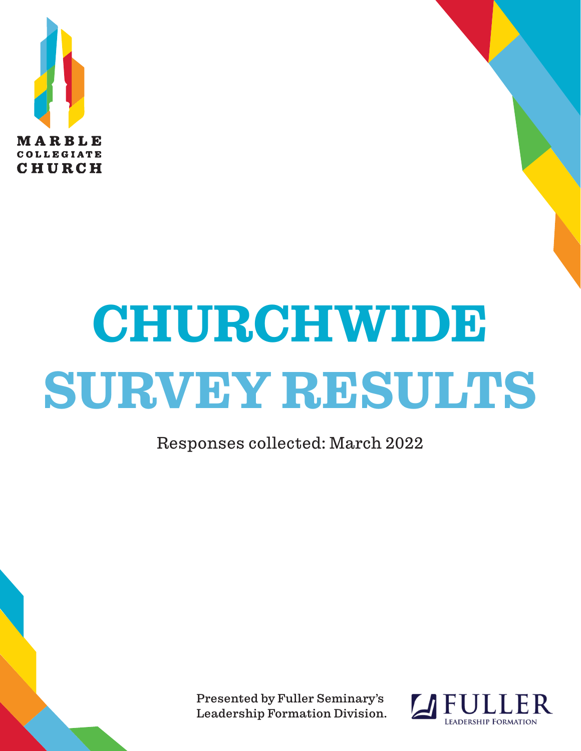

# **CHURCHWIDE SURVEY RESULTS**

Responses collected: March 2022

Presented by Fuller Seminary's Leadership Formation Division.

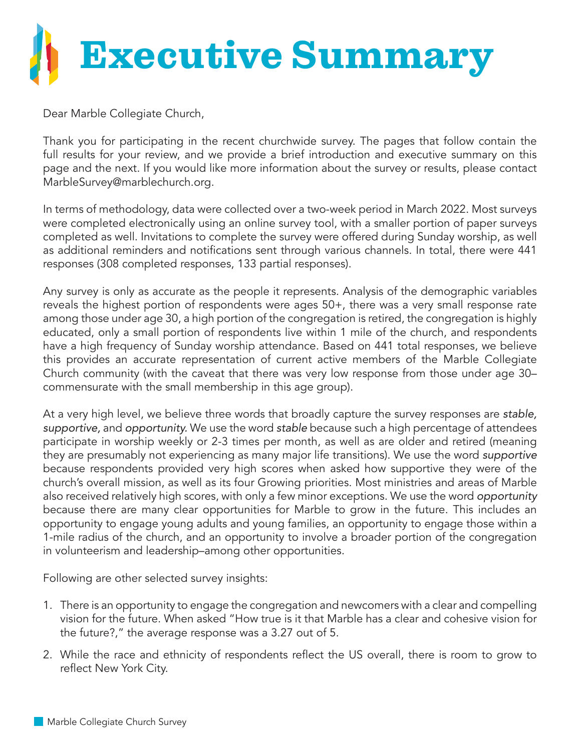

Dear Marble Collegiate Church,

Thank you for participating in the recent churchwide survey. The pages that follow contain the full results for your review, and we provide a brief introduction and executive summary on this page and the next. If you would like more information about the survey or results, please contact MarbleSurvey@marblechurch.org.

In terms of methodology, data were collected over a two-week period in March 2022. Most surveys were completed electronically using an online survey tool, with a smaller portion of paper surveys completed as well. Invitations to complete the survey were offered during Sunday worship, as well as additional reminders and notifications sent through various channels. In total, there were 441 responses (308 completed responses, 133 partial responses).

Any survey is only as accurate as the people it represents. Analysis of the demographic variables reveals the highest portion of respondents were ages 50+, there was a very small response rate among those under age 30, a high portion of the congregation is retired, the congregation is highly educated, only a small portion of respondents live within 1 mile of the church, and respondents have a high frequency of Sunday worship attendance. Based on 441 total responses, we believe this provides an accurate representation of current active members of the Marble Collegiate Church community (with the caveat that there was very low response from those under age 30– commensurate with the small membership in this age group).

At a very high level, we believe three words that broadly capture the survey responses are *stable, supportive,* and *opportunity.* We use the word *stable* because such a high percentage of attendees participate in worship weekly or 2-3 times per month, as well as are older and retired (meaning they are presumably not experiencing as many major life transitions). We use the word *supportive* because respondents provided very high scores when asked how supportive they were of the church's overall mission, as well as its four Growing priorities. Most ministries and areas of Marble also received relatively high scores, with only a few minor exceptions. We use the word *opportunity* because there are many clear opportunities for Marble to grow in the future. This includes an opportunity to engage young adults and young families, an opportunity to engage those within a 1-mile radius of the church, and an opportunity to involve a broader portion of the congregation in volunteerism and leadership–among other opportunities.

Following are other selected survey insights:

- 1. There is an opportunity to engage the congregation and newcomers with a clear and compelling vision for the future. When asked "How true is it that Marble has a clear and cohesive vision for the future?," the average response was a 3.27 out of 5.
- 2. While the race and ethnicity of respondents reflect the US overall, there is room to grow to reflect New York City.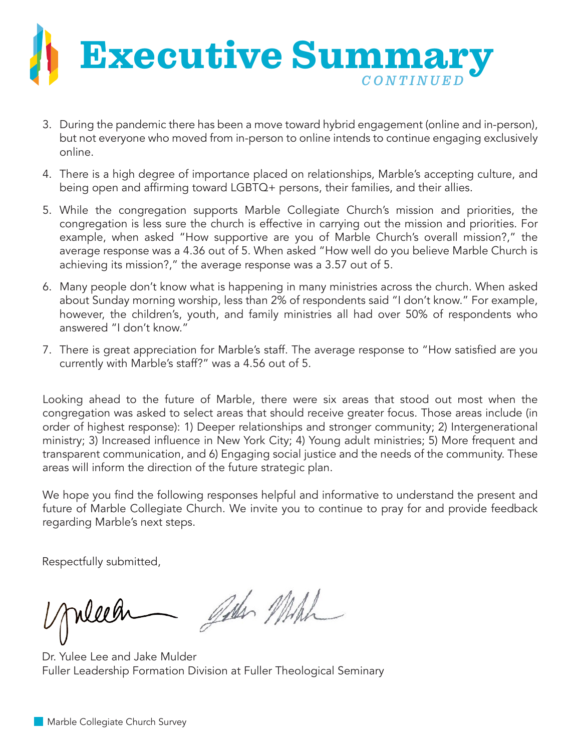

- 3. During the pandemic there has been a move toward hybrid engagement (online and in-person), but not everyone who moved from in-person to online intends to continue engaging exclusively online.
- 4. There is a high degree of importance placed on relationships, Marble's accepting culture, and being open and affirming toward LGBTQ+ persons, their families, and their allies.
- 5. While the congregation supports Marble Collegiate Church's mission and priorities, the congregation is less sure the church is effective in carrying out the mission and priorities. For example, when asked "How supportive are you of Marble Church's overall mission?," the average response was a 4.36 out of 5. When asked "How well do you believe Marble Church is achieving its mission?," the average response was a 3.57 out of 5.
- 6. Many people don't know what is happening in many ministries across the church. When asked about Sunday morning worship, less than 2% of respondents said "I don't know." For example, however, the children's, youth, and family ministries all had over 50% of respondents who answered "I don't know."
- 7. There is great appreciation for Marble's staff. The average response to "How satisfied are you currently with Marble's staff?" was a 4.56 out of 5.

Looking ahead to the future of Marble, there were six areas that stood out most when the congregation was asked to select areas that should receive greater focus. Those areas include (in order of highest response): 1) Deeper relationships and stronger community; 2) Intergenerational ministry; 3) Increased influence in New York City; 4) Young adult ministries; 5) More frequent and transparent communication, and 6) Engaging social justice and the needs of the community. These areas will inform the direction of the future strategic plan.

We hope you find the following responses helpful and informative to understand the present and future of Marble Collegiate Church. We invite you to continue to pray for and provide feedback regarding Marble's next steps.

Respectfully submitted,

John Mich

Dr. Yulee Lee and Jake Mulder Fuller Leadership Formation Division at Fuller Theological Seminary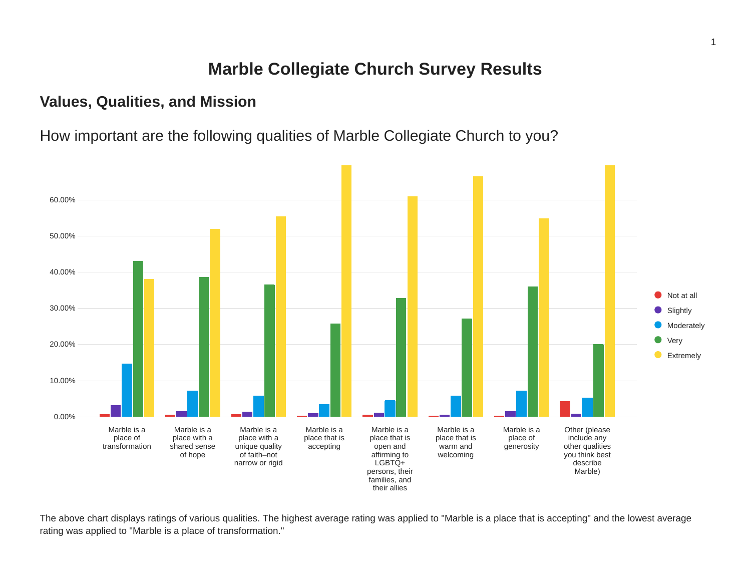## **Marble Collegiate Church Survey Results**

## **Values, Qualities, and Mission**

How important are the following qualities of Marble Collegiate Church to you?



The above chart displays ratings of various qualities. The highest average rating was applied to "Marble is a place that is accepting" and the lowest average rating was applied to "Marble is a place of transformation."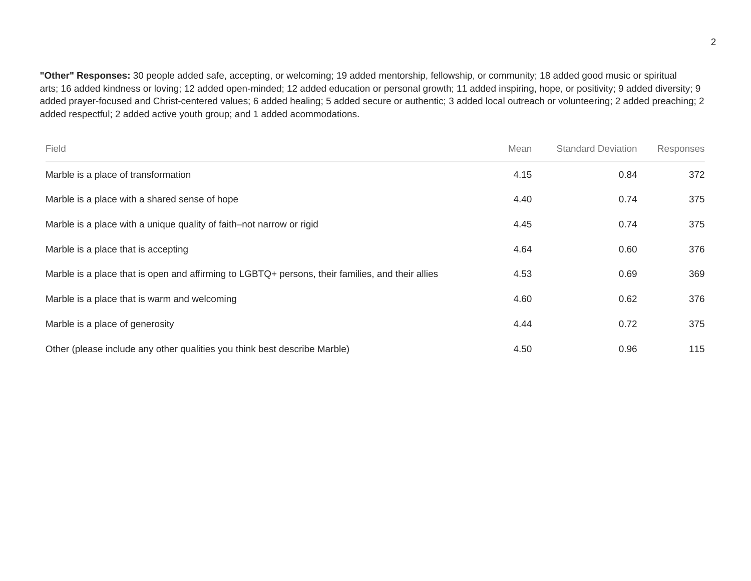**"Other" Responses:** 30 people added safe, accepting, or welcoming; 19 added mentorship, fellowship, or community; 18 added good music or spiritual arts; 16 added kindness or loving; 12 added open-minded; 12 added education or personal growth; 11 added inspiring, hope, or positivity; 9 added diversity; 9 added prayer-focused and Christ-centered values; 6 added healing; 5 added secure or authentic; 3 added local outreach or volunteering; 2 added preaching; 2 added respectful; 2 added active youth group; and 1 added acommodations.

| Field                                                                                            | Mean | <b>Standard Deviation</b> | Responses |
|--------------------------------------------------------------------------------------------------|------|---------------------------|-----------|
| Marble is a place of transformation                                                              | 4.15 | 0.84                      | 372       |
| Marble is a place with a shared sense of hope                                                    | 4.40 | 0.74                      | 375       |
| Marble is a place with a unique quality of faith–not narrow or rigid                             | 4.45 | 0.74                      | 375       |
| Marble is a place that is accepting                                                              | 4.64 | 0.60                      | 376       |
| Marble is a place that is open and affirming to LGBTQ+ persons, their families, and their allies | 4.53 | 0.69                      | 369       |
| Marble is a place that is warm and welcoming                                                     | 4.60 | 0.62                      | 376       |
| Marble is a place of generosity                                                                  | 4.44 | 0.72                      | 375       |
| Other (please include any other qualities you think best describe Marble)                        | 4.50 | 0.96                      | 115       |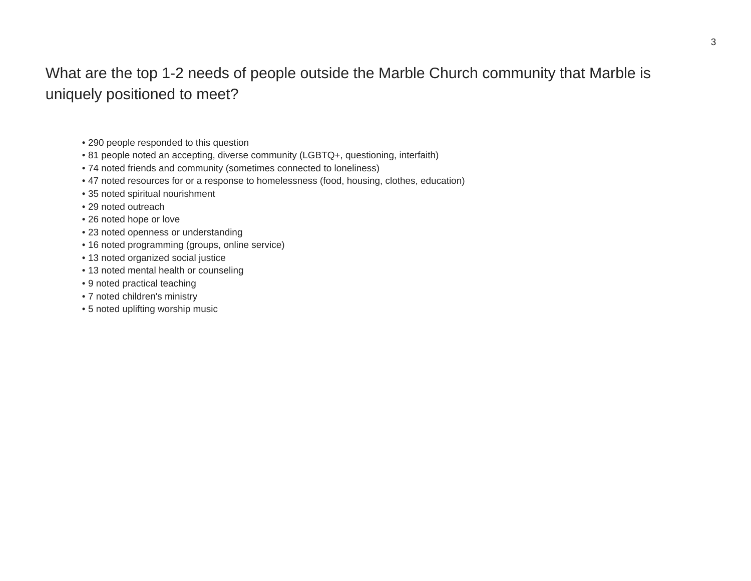## What are the top 1-2 needs of people outside the Marble Church community that Marble is uniquely positioned to meet?

- 290 people responded to this question
- 81 people noted an accepting, diverse community (LGBTQ+, questioning, interfaith)
- 74 noted friends and community (sometimes connected to loneliness)
- 47 noted resources for or a response to homelessness (food, housing, clothes, education)
- 35 noted spiritual nourishment
- 29 noted outreach
- 26 noted hope or love
- 23 noted openness or understanding
- 16 noted programming (groups, online service)
- 13 noted organized social justice
- 13 noted mental health or counseling
- 9 noted practical teaching
- 7 noted children's ministry
- 5 noted uplifting worship music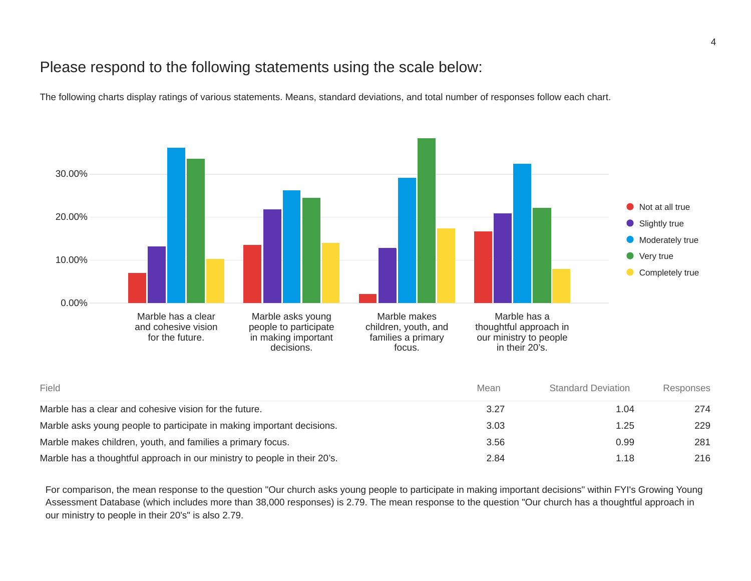## Please respond to the following statements using the scale below:

The following charts display ratings of various statements. Means, standard deviations, and total number of responses follow each chart.



| Field                                                                     |      | <b>Standard Deviation</b> | Responses |  |
|---------------------------------------------------------------------------|------|---------------------------|-----------|--|
| Marble has a clear and cohesive vision for the future.                    | 3.27 | 1.04                      | 274       |  |
| Marble asks young people to participate in making important decisions.    | 3.03 | 1.25                      | 229       |  |
| Marble makes children, youth, and families a primary focus.               | 3.56 | 0.99                      | 281       |  |
| Marble has a thoughtful approach in our ministry to people in their 20's. | 2.84 | 1.18                      | 216       |  |

For comparison, the mean response to the question "Our church asks young people to participate in making important decisions" within FYI's Growing Young Assessment Database (which includes more than 38,000 responses) is 2.79. The mean response to the question "Our church has a thoughtful approach in our ministry to people in their 20's" is also 2.79.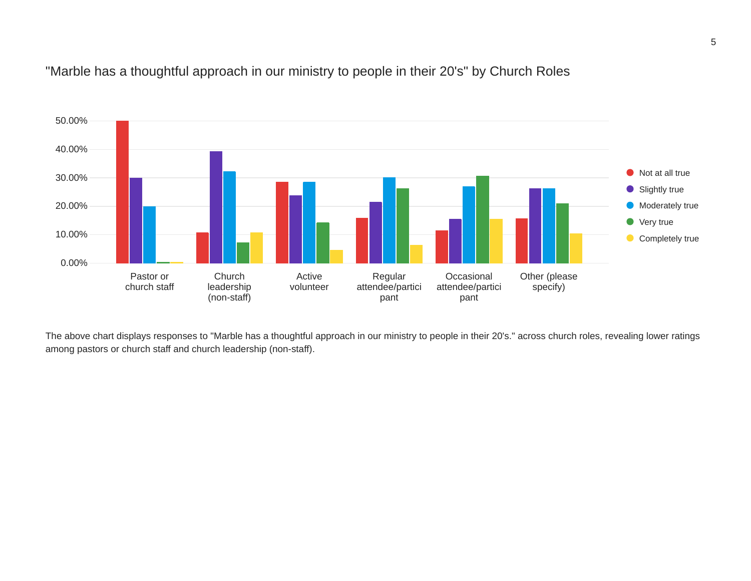#### "Marble has a thoughtful approach in our ministry to people in their 20's" by Church Roles



The above chart displays responses to "Marble has a thoughtful approach in our ministry to people in their 20's." across church roles, revealing lower ratings among pastors or church staff and church leadership (non-staff).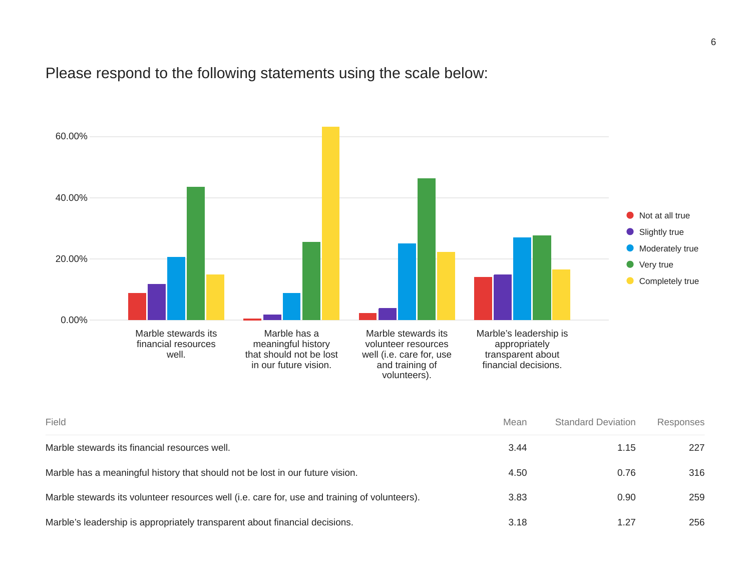Please respond to the following statements using the scale below:



| Field                                                                                         | Mean | <b>Standard Deviation</b> | Responses |
|-----------------------------------------------------------------------------------------------|------|---------------------------|-----------|
| Marble stewards its financial resources well.                                                 | 3.44 | 1.15                      | 227       |
| Marble has a meaningful history that should not be lost in our future vision.                 | 4.50 | 0.76                      | 316       |
| Marble stewards its volunteer resources well (i.e. care for, use and training of volunteers). | 3.83 | 0.90                      | 259       |
| Marble's leadership is appropriately transparent about financial decisions.                   | 3.18 | 1.27                      | 256       |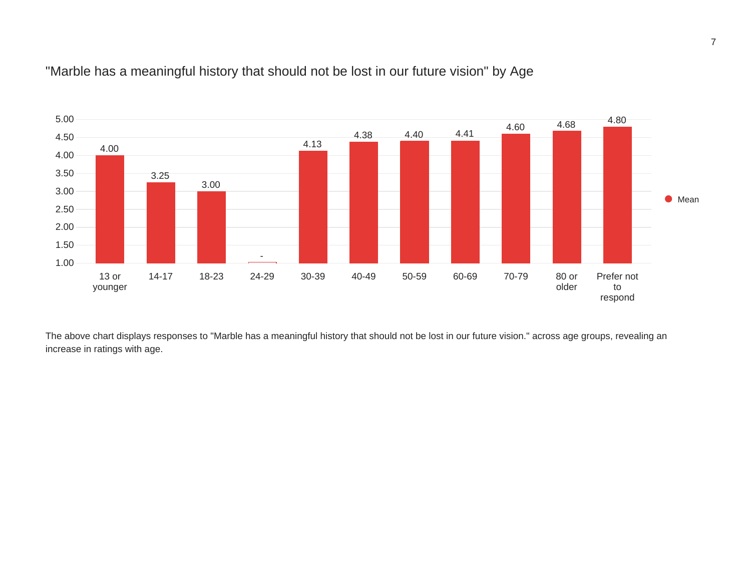

#### "Marble has a meaningful history that should not be lost in our future vision" by Age

The above chart displays responses to "Marble has a meaningful history that should not be lost in our future vision." across age groups, revealing an increase in ratings with age.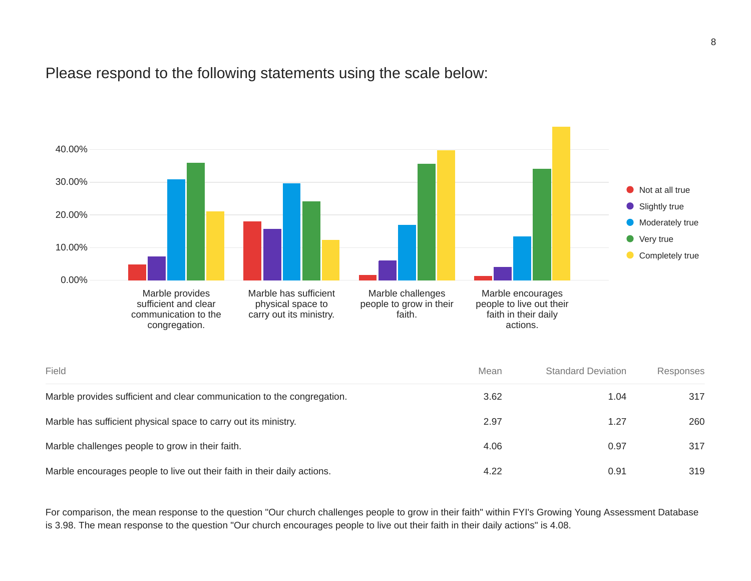Please respond to the following statements using the scale below:



| Field                                                                    | Mean | <b>Standard Deviation</b> | Responses |
|--------------------------------------------------------------------------|------|---------------------------|-----------|
| Marble provides sufficient and clear communication to the congregation.  | 3.62 | 1.04                      | 317       |
| Marble has sufficient physical space to carry out its ministry.          | 2.97 | 1.27                      | 260       |
| Marble challenges people to grow in their faith.                         | 4.06 | 0.97                      | 317       |
| Marble encourages people to live out their faith in their daily actions. | 4.22 | 0.91                      | 319       |

For comparison, the mean response to the question "Our church challenges people to grow in their faith" within FYI's Growing Young Assessment Database is 3.98. The mean response to the question "Our church encourages people to live out their faith in their daily actions" is 4.08.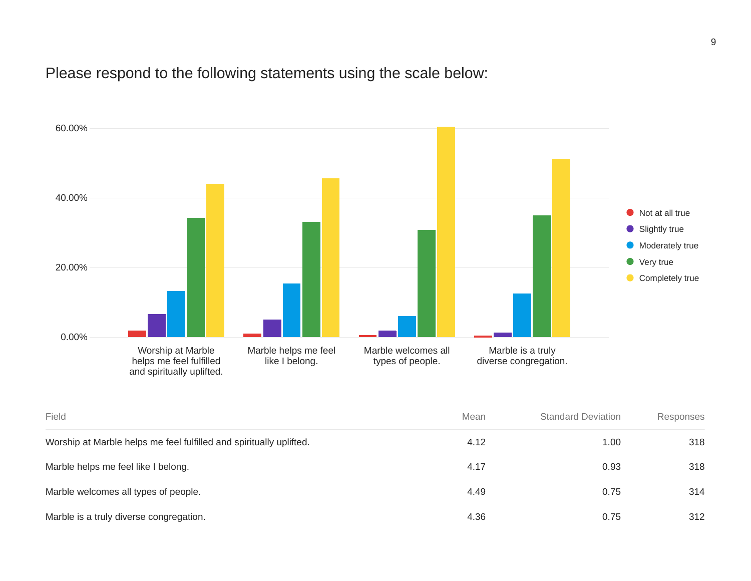## Please respond to the following statements using the scale below:



| Field                                                               | Mean | <b>Standard Deviation</b> | Responses |
|---------------------------------------------------------------------|------|---------------------------|-----------|
| Worship at Marble helps me feel fulfilled and spiritually uplifted. | 4.12 | 1.00                      | 318       |
| Marble helps me feel like I belong.                                 | 4.17 | 0.93                      | 318       |
| Marble welcomes all types of people.                                | 4.49 | 0.75                      | 314       |
| Marble is a truly diverse congregation.                             | 4.36 | 0.75                      | 312       |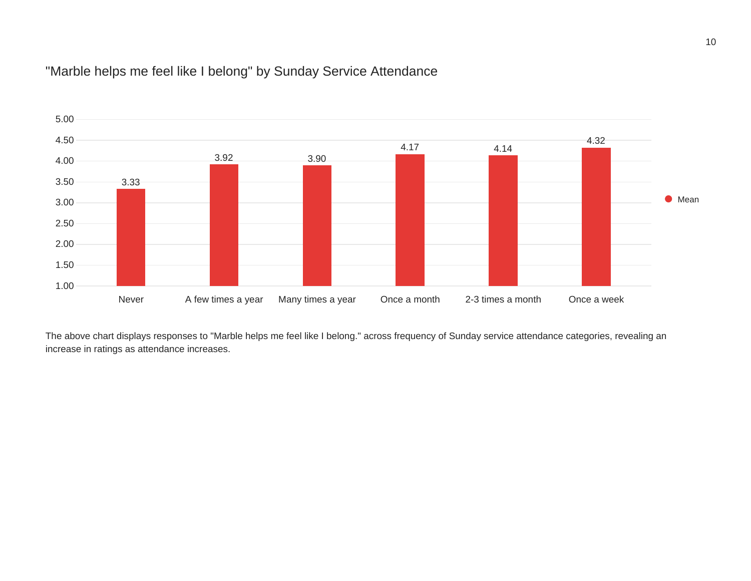## "Marble helps me feel like I belong" by Sunday Service Attendance



The above chart displays responses to "Marble helps me feel like I belong." across frequency of Sunday service attendance categories, revealing an increase in ratings as attendance increases.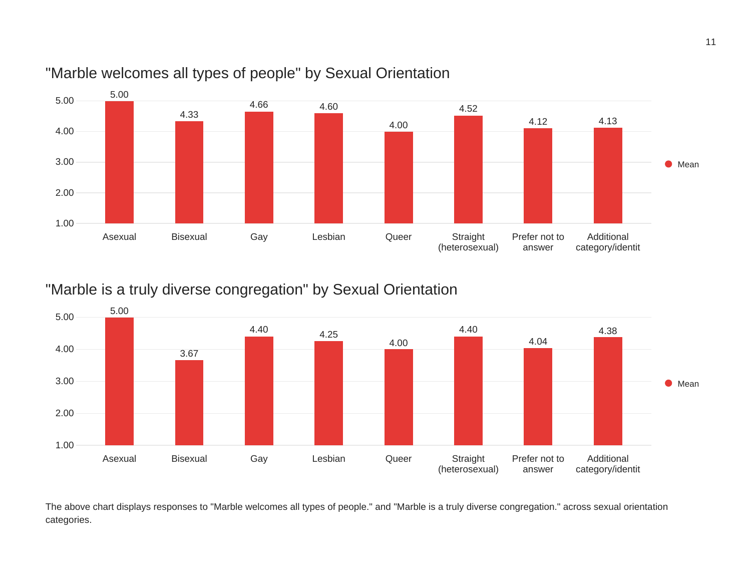

## "Marble welcomes all types of people" by Sexual Orientation

## "Marble is a truly diverse congregation" by Sexual Orientation



The above chart displays responses to "Marble welcomes all types of people." and "Marble is a truly diverse congregation." across sexual orientation categories.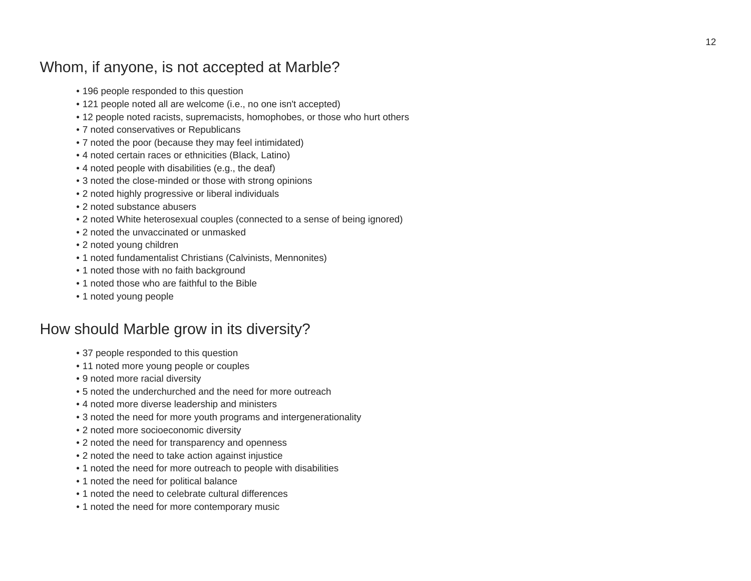## Whom, if anyone, is not accepted at Marble?

- 196 people responded to this question
- 121 people noted all are welcome (i.e., no one isn't accepted)
- 12 people noted racists, supremacists, homophobes, or those who hurt others
- 7 noted conservatives or Republicans
- 7 noted the poor (because they may feel intimidated)
- 4 noted certain races or ethnicities (Black, Latino)
- 4 noted people with disabilities (e.g., the deaf)
- 3 noted the close-minded or those with strong opinions
- 2 noted highly progressive or liberal individuals
- 2 noted substance abusers
- 2 noted White heterosexual couples (connected to a sense of being ignored)
- 2 noted the unvaccinated or unmasked
- 2 noted young children
- 1 noted fundamentalist Christians (Calvinists, Mennonites)
- 1 noted those with no faith background
- 1 noted those who are faithful to the Bible
- 1 noted young people

## How should Marble grow in its diversity?

- 37 people responded to this question
- 11 noted more young people or couples
- 9 noted more racial diversity
- 5 noted the underchurched and the need for more outreach
- 4 noted more diverse leadership and ministers
- 3 noted the need for more youth programs and intergenerationality
- 2 noted more socioeconomic diversity
- 2 noted the need for transparency and openness
- 2 noted the need to take action against injustice
- 1 noted the need for more outreach to people with disabilities
- 1 noted the need for political balance
- 1 noted the need to celebrate cultural differences
- 1 noted the need for more contemporary music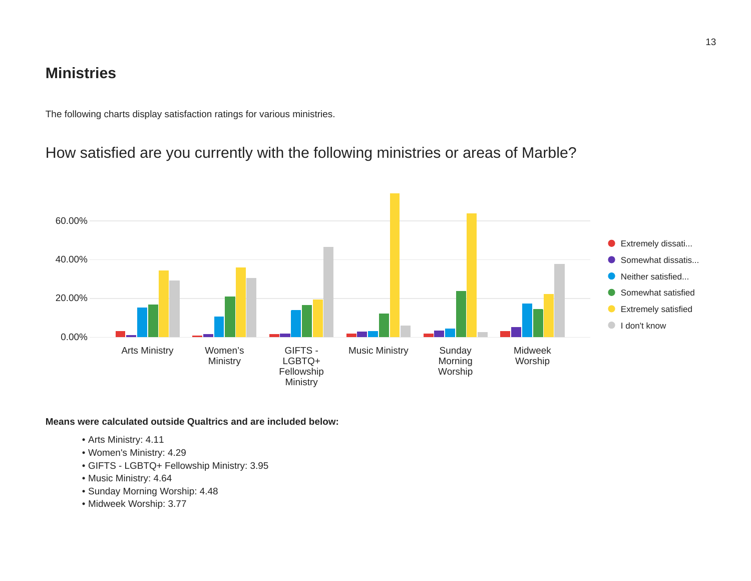#### **Ministries**

The following charts display satisfaction ratings for various ministries.

## How satisfied are you currently with the following ministries or areas of Marble?



**Means were calculated outside Qualtrics and are included below:**

- Arts Ministry: 4.11
- Women's Ministry: 4.29
- GIFTS LGBTQ+ Fellowship Ministry: 3.95
- Music Ministry: 4.64
- Sunday Morning Worship: 4.48
- Midweek Worship: 3.77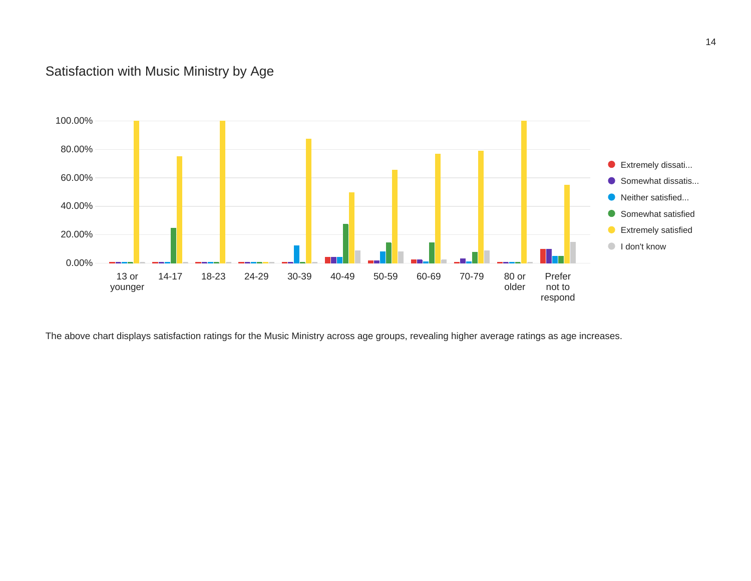#### Satisfaction with Music Ministry by Age



The above chart displays satisfaction ratings for the Music Ministry across age groups, revealing higher average ratings as age increases.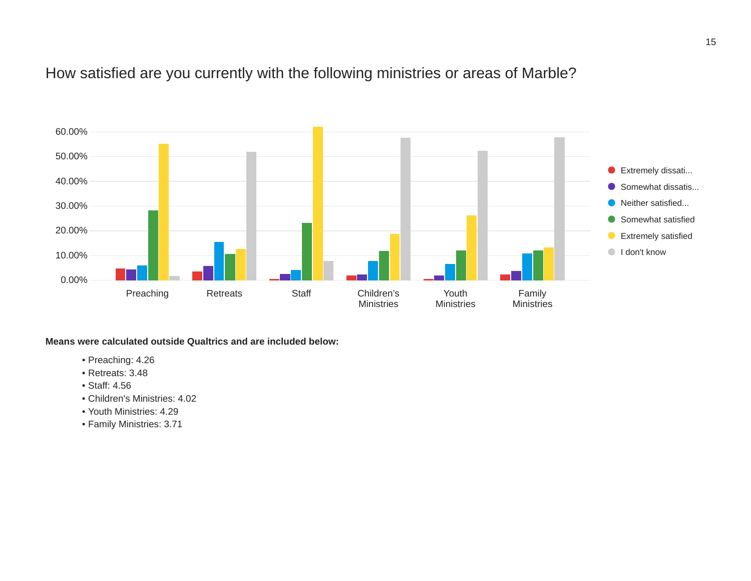## How satisfied are you currently with the following ministries or areas of Marble?



**Means were calculated outside Qualtrics and are included below:**

- Preaching: 4.26
- Retreats: 3.48
- Staff: 4.56
- Children's Ministries: 4.02
- Youth Ministries: 4.29
- Family Ministries: 3.71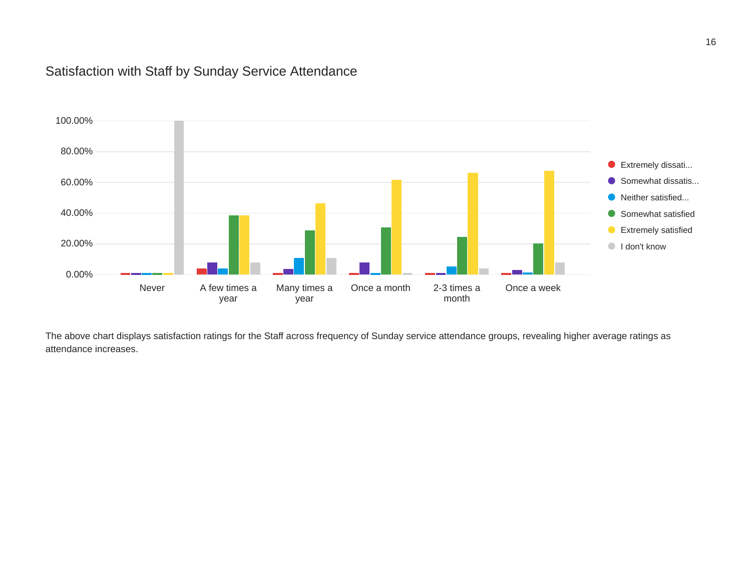#### Satisfaction with Staff by Sunday Service Attendance



The above chart displays satisfaction ratings for the Staff across frequency of Sunday service attendance groups, revealing higher average ratings as attendance increases.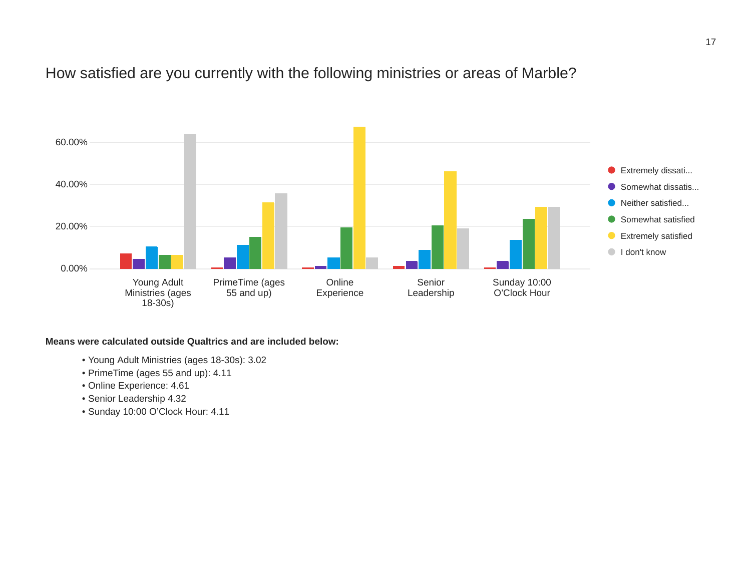## How satisfied are you currently with the following ministries or areas of Marble?



**Means were calculated outside Qualtrics and are included below:**

- Young Adult Ministries (ages 18-30s): 3.02
- PrimeTime (ages 55 and up): 4.11
- Online Experience: 4.61
- Senior Leadership 4.32
- Sunday 10:00 O'Clock Hour: 4.11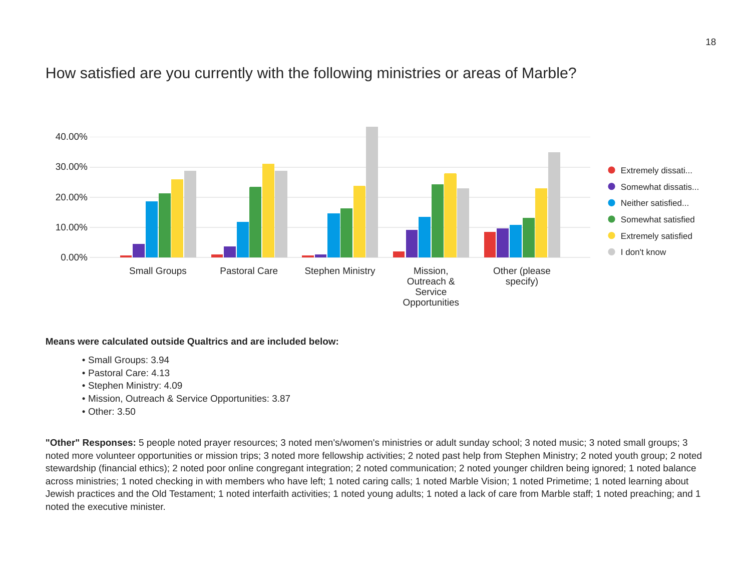#### How satisfied are you currently with the following ministries or areas of Marble?



#### **Means were calculated outside Qualtrics and are included below:**

- Small Groups: 3.94
- Pastoral Care: 4.13
- Stephen Ministry: 4.09
- Mission, Outreach & Service Opportunities: 3.87
- Other: 3.50

**"Other" Responses:** 5 people noted prayer resources; 3 noted men's/women's ministries or adult sunday school; 3 noted music; 3 noted small groups; 3 noted more volunteer opportunities or mission trips; 3 noted more fellowship activities; 2 noted past help from Stephen Ministry; 2 noted youth group; 2 noted stewardship (financial ethics); 2 noted poor online congregant integration; 2 noted communication; 2 noted younger children being ignored; 1 noted balance across ministries; 1 noted checking in with members who have left; 1 noted caring calls; 1 noted Marble Vision; 1 noted Primetime; 1 noted learning about Jewish practices and the Old Testament; 1 noted interfaith activities; 1 noted young adults; 1 noted a lack of care from Marble staff; 1 noted preaching; and 1 noted the executive minister.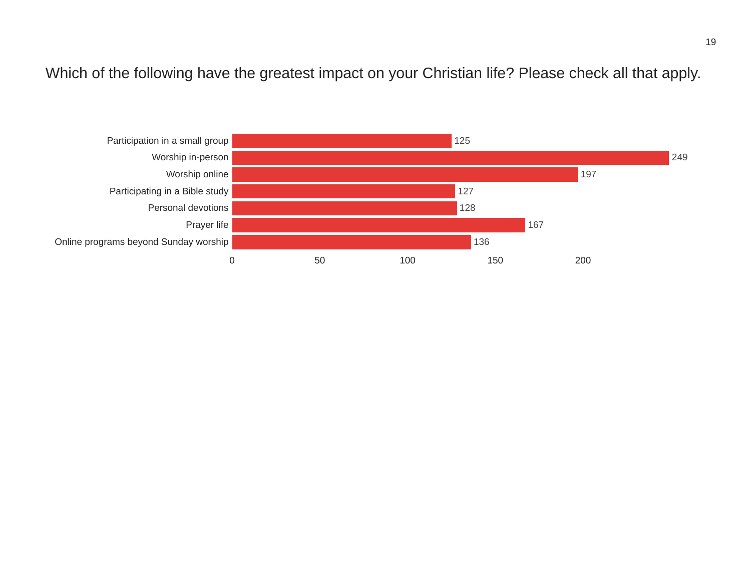Which of the following have the greatest impact on your Christian life? Please check all that apply.

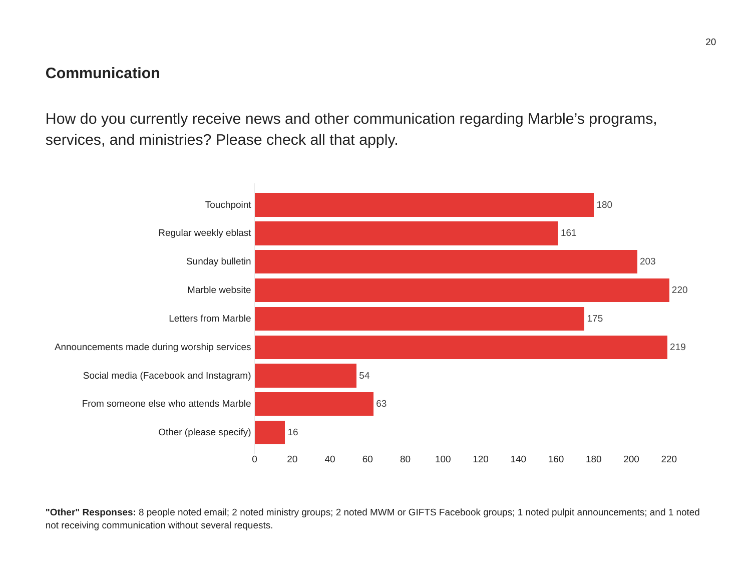## **Communication**

How do you currently receive news and other communication regarding Marble's programs, services, and ministries? Please check all that apply.



**"Other" Responses:** 8 people noted email; 2 noted ministry groups; 2 noted MWM or GIFTS Facebook groups; 1 noted pulpit announcements; and 1 noted not receiving communication without several requests.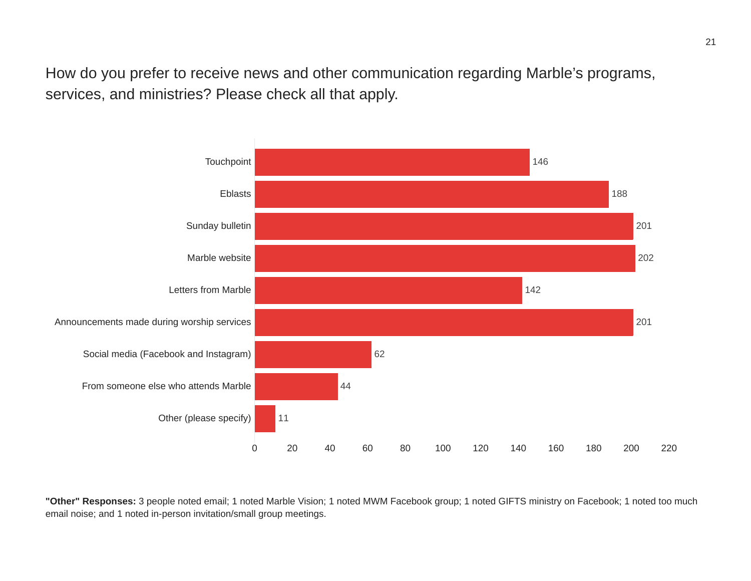How do you prefer to receive news and other communication regarding Marble's programs, services, and ministries? Please check all that apply.



**"Other" Responses:** 3 people noted email; 1 noted Marble Vision; 1 noted MWM Facebook group; 1 noted GIFTS ministry on Facebook; 1 noted too much email noise; and 1 noted in-person invitation/small group meetings.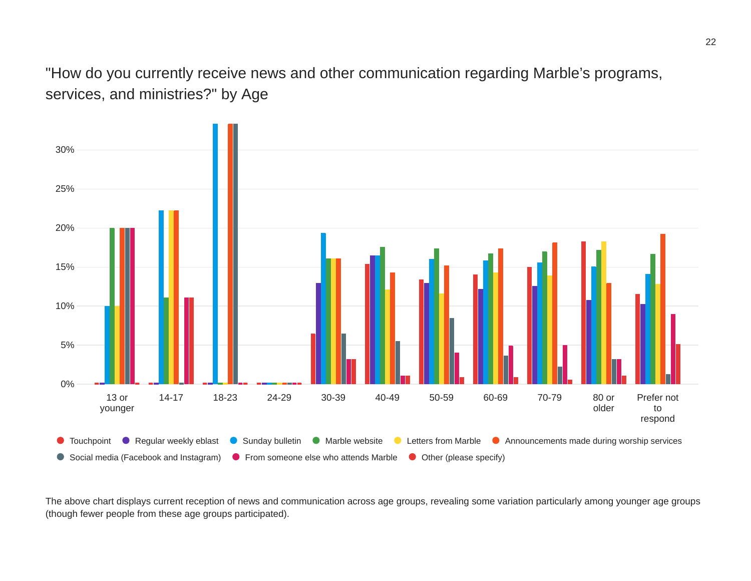"How do you currently receive news and other communication regarding Marble's programs, services, and ministries?" by Age



The above chart displays current reception of news and communication across age groups, revealing some variation particularly among younger age groups (though fewer people from these age groups participated).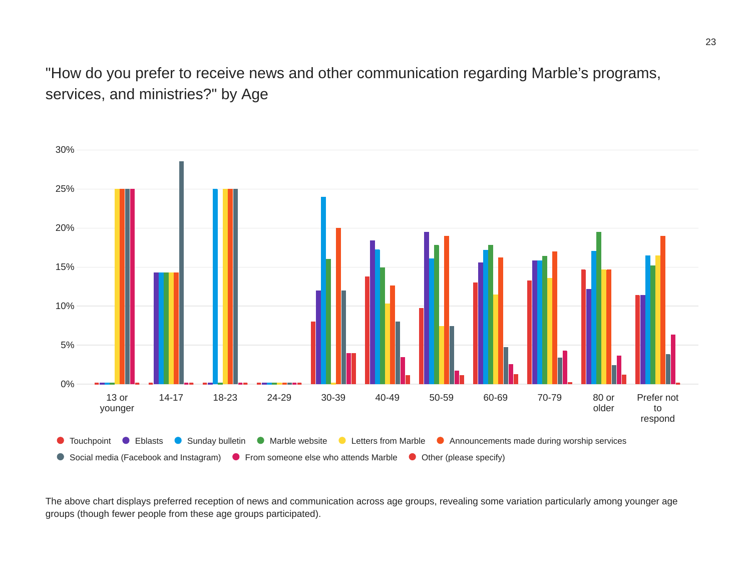"How do you prefer to receive news and other communication regarding Marble's programs, services, and ministries?" by Age



The above chart displays preferred reception of news and communication across age groups, revealing some variation particularly among younger age groups (though fewer people from these age groups participated).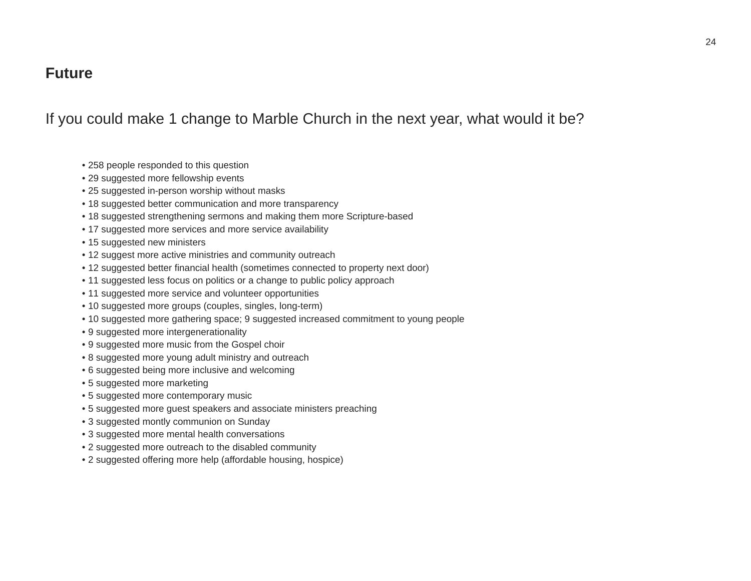#### **Future**

If you could make 1 change to Marble Church in the next year, what would it be?

- 258 people responded to this question
- 29 suggested more fellowship events
- 25 suggested in-person worship without masks
- 18 suggested better communication and more transparency
- 18 suggested strengthening sermons and making them more Scripture-based
- 17 suggested more services and more service availability
- 15 suggested new ministers
- 12 suggest more active ministries and community outreach
- 12 suggested better financial health (sometimes connected to property next door)
- 11 suggested less focus on politics or a change to public policy approach
- 11 suggested more service and volunteer opportunities
- 10 suggested more groups (couples, singles, long-term)
- 10 suggested more gathering space; 9 suggested increased commitment to young people
- 9 suggested more intergenerationality
- 9 suggested more music from the Gospel choir
- 8 suggested more young adult ministry and outreach
- 6 suggested being more inclusive and welcoming
- 5 suggested more marketing
- 5 suggested more contemporary music
- 5 suggested more guest speakers and associate ministers preaching
- 3 suggested montly communion on Sunday
- 3 suggested more mental health conversations
- 2 suggested more outreach to the disabled community
- 2 suggested offering more help (affordable housing, hospice)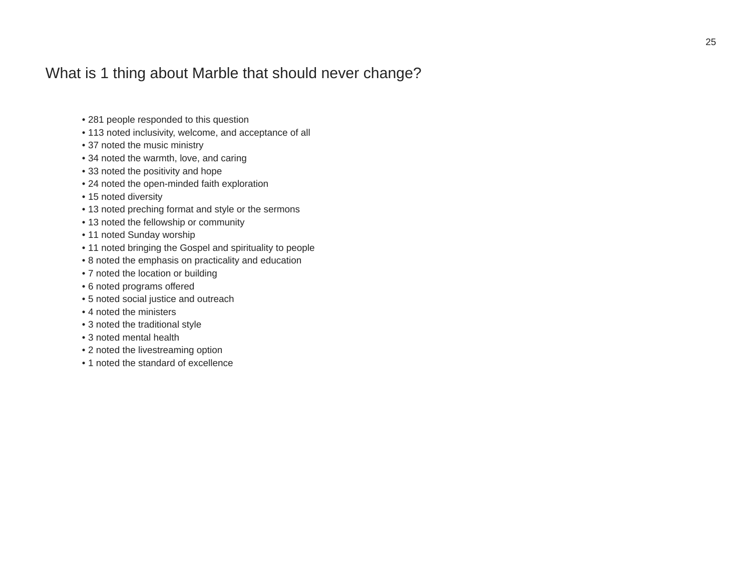## What is 1 thing about Marble that should never change?

- 281 people responded to this question
- 113 noted inclusivity, welcome, and acceptance of all
- 37 noted the music ministry
- 34 noted the warmth, love, and caring
- 33 noted the positivity and hope
- 24 noted the open-minded faith exploration
- 15 noted diversity
- 13 noted preching format and style or the sermons
- 13 noted the fellowship or community
- 11 noted Sunday worship
- 11 noted bringing the Gospel and spirituality to people
- 8 noted the emphasis on practicality and education
- 7 noted the location or building
- 6 noted programs offered
- 5 noted social justice and outreach
- 4 noted the ministers
- 3 noted the traditional style
- 3 noted mental health
- 2 noted the livestreaming option
- 1 noted the standard of excellence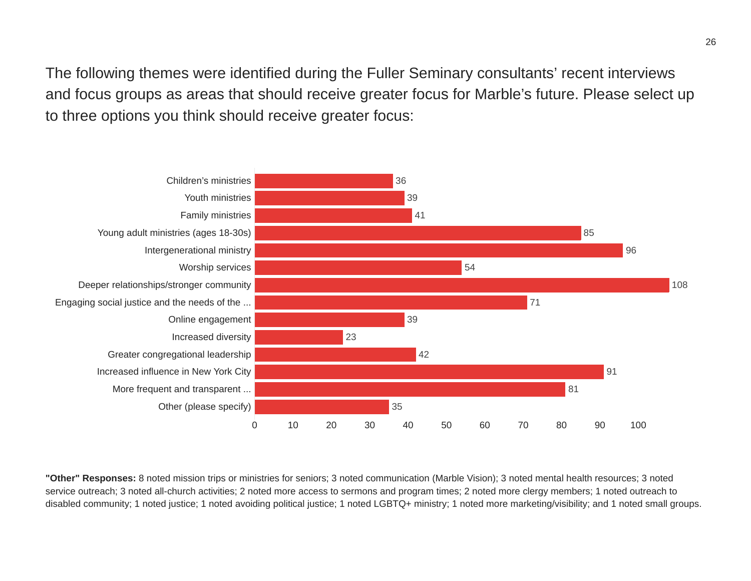The following themes were identified during the Fuller Seminary consultants' recent interviews and focus groups as areas that should receive greater focus for Marble's future. Please select up to three options you think should receive greater focus:



**"Other" Responses:** 8 noted mission trips or ministries for seniors; 3 noted communication (Marble Vision); 3 noted mental health resources; 3 noted service outreach; 3 noted all-church activities; 2 noted more access to sermons and program times; 2 noted more clergy members; 1 noted outreach to disabled community; 1 noted justice; 1 noted avoiding political justice; 1 noted LGBTQ+ ministry; 1 noted more marketing/visibility; and 1 noted small groups.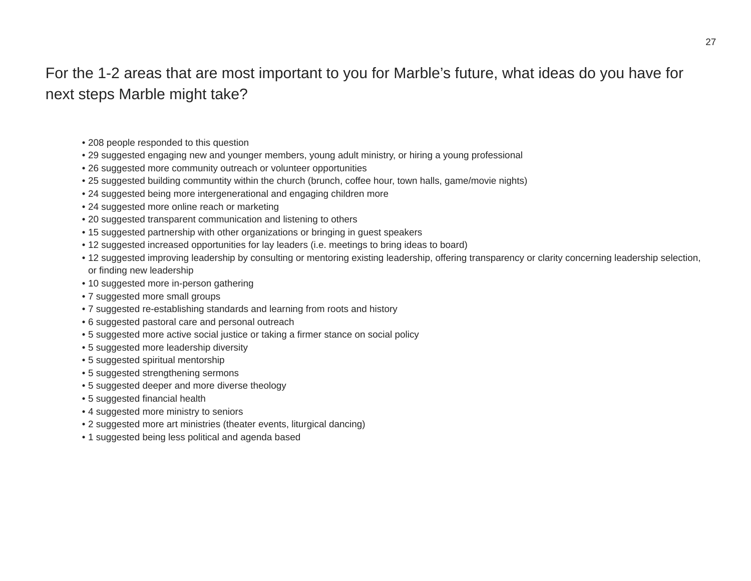## For the 1-2 areas that are most important to you for Marble's future, what ideas do you have for next steps Marble might take?

- 208 people responded to this question
- 29 suggested engaging new and younger members, young adult ministry, or hiring a young professional
- 26 suggested more community outreach or volunteer opportunities
- 25 suggested building communtity within the church (brunch, coffee hour, town halls, game/movie nights)
- 24 suggested being more intergenerational and engaging children more
- 24 suggested more online reach or marketing
- 20 suggested transparent communication and listening to others
- 15 suggested partnership with other organizations or bringing in guest speakers
- 12 suggested increased opportunities for lay leaders (i.e. meetings to bring ideas to board)
- 12 suggested improving leadership by consulting or mentoring existing leadership, offering transparency or clarity concerning leadership selection, or finding new leadership
- 10 suggested more in-person gathering
- 7 suggested more small groups
- 7 suggested re-establishing standards and learning from roots and history
- 6 suggested pastoral care and personal outreach
- 5 suggested more active social justice or taking a firmer stance on social policy
- 5 suggested more leadership diversity
- 5 suggested spiritual mentorship
- 5 suggested strengthening sermons
- 5 suggested deeper and more diverse theology
- 5 suggested financial health
- 4 suggested more ministry to seniors
- 2 suggested more art ministries (theater events, liturgical dancing)
- 1 suggested being less political and agenda based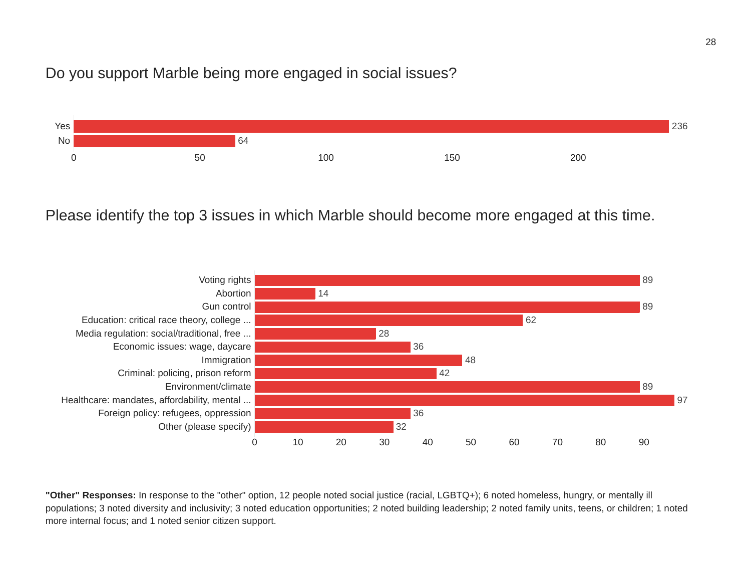## Do you support Marble being more engaged in social issues?



Please identify the top 3 issues in which Marble should become more engaged at this time.



**"Other" Responses:** In response to the "other" option, 12 people noted social justice (racial, LGBTQ+); 6 noted homeless, hungry, or mentally ill populations; 3 noted diversity and inclusivity; 3 noted education opportunities; 2 noted building leadership; 2 noted family units, teens, or children; 1 noted more internal focus; and 1 noted senior citizen support.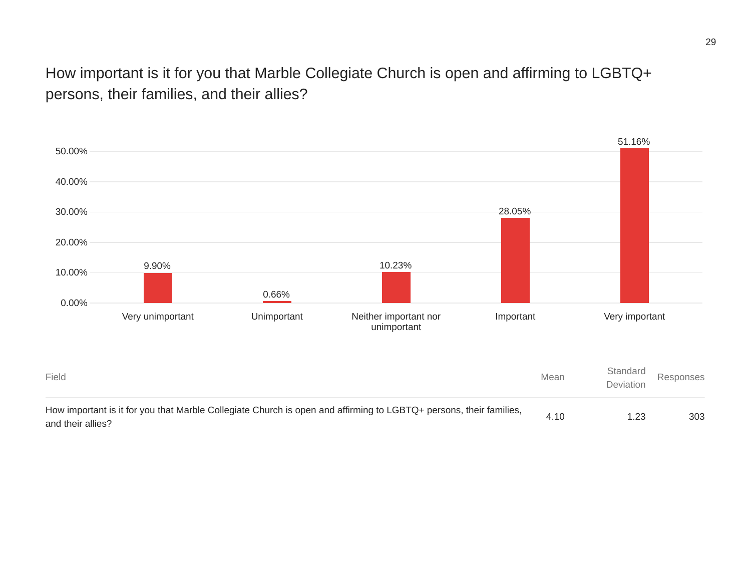How important is it for you that Marble Collegiate Church is open and affirming to LGBTQ+ persons, their families, and their allies?

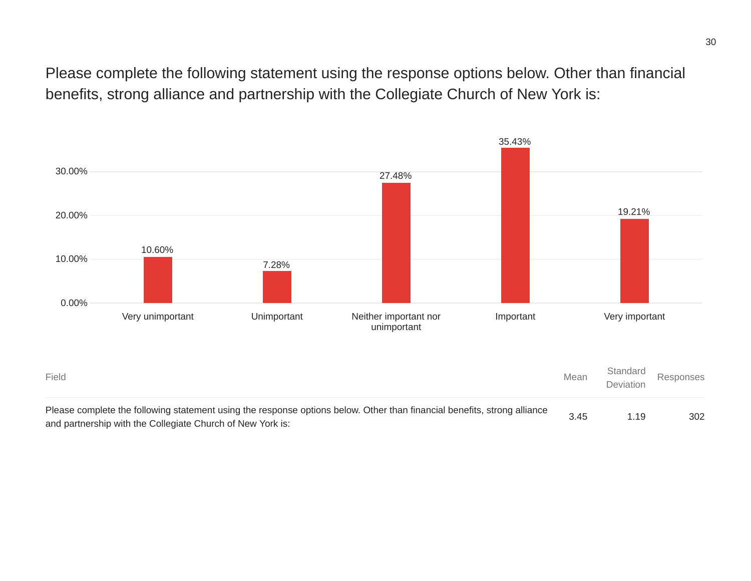Please complete the following statement using the response options below. Other than financial benefits, strong alliance and partnership with the Collegiate Church of New York is:



and partnership with the Collegiate Church of New York is: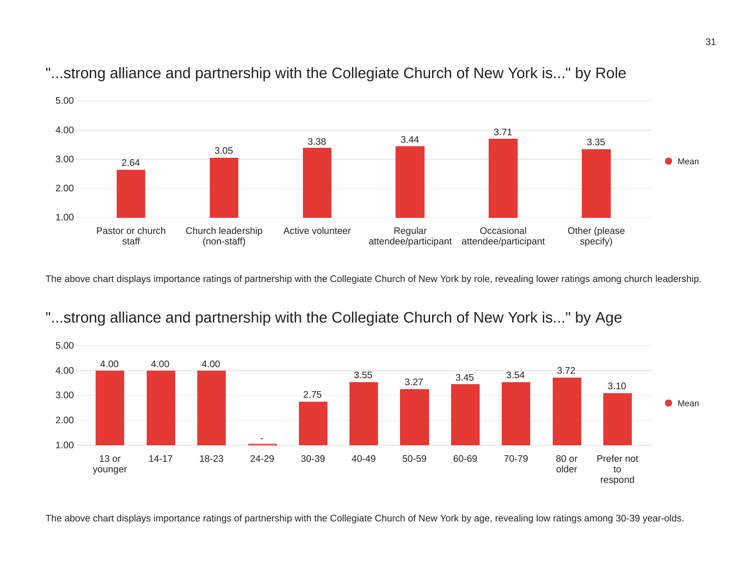

## "...strong alliance and partnership with the Collegiate Church of New York is..." by Role

The above chart displays importance ratings of partnership with the Collegiate Church of New York by role, revealing lower ratings among church leadership.



## "...strong alliance and partnership with the Collegiate Church of New York is..." by Age

The above chart displays importance ratings of partnership with the Collegiate Church of New York by age, revealing low ratings among 30-39 year-olds.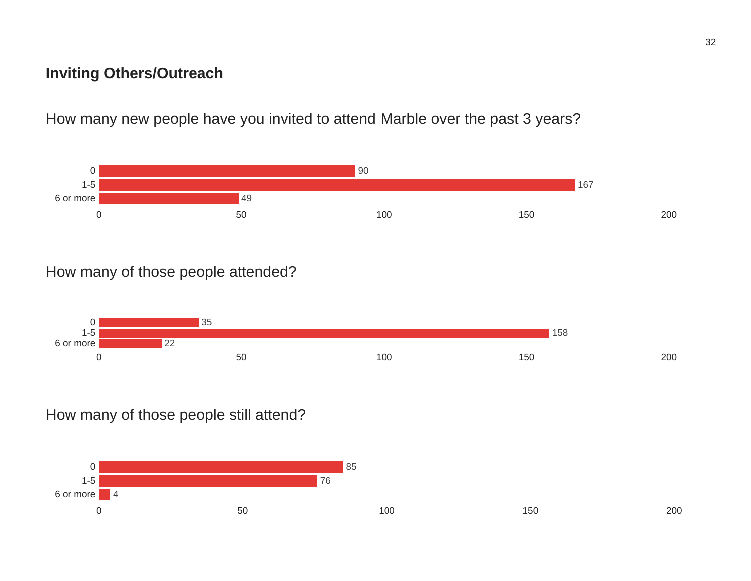## **Inviting Others/Outreach**

How many new people have you invited to attend Marble over the past 3 years?



## How many of those people attended?



How many of those people still attend?

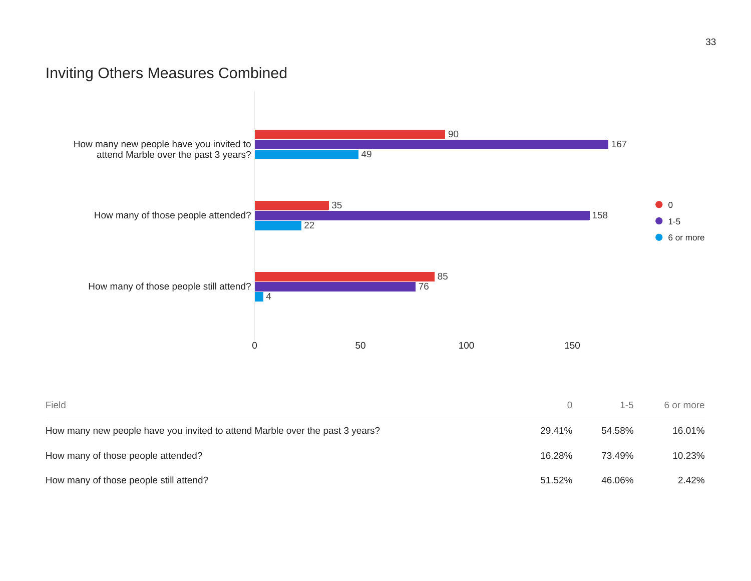## Inviting Others Measures Combined



| Field                                                                        | 0      | $1 - 5$ | 6 or more |
|------------------------------------------------------------------------------|--------|---------|-----------|
| How many new people have you invited to attend Marble over the past 3 years? | 29.41% | 54.58%  | 16.01%    |
| How many of those people attended?                                           | 16.28% | 73.49%  | 10.23%    |
| How many of those people still attend?                                       | 51.52% | 46.06%  | 2.42%     |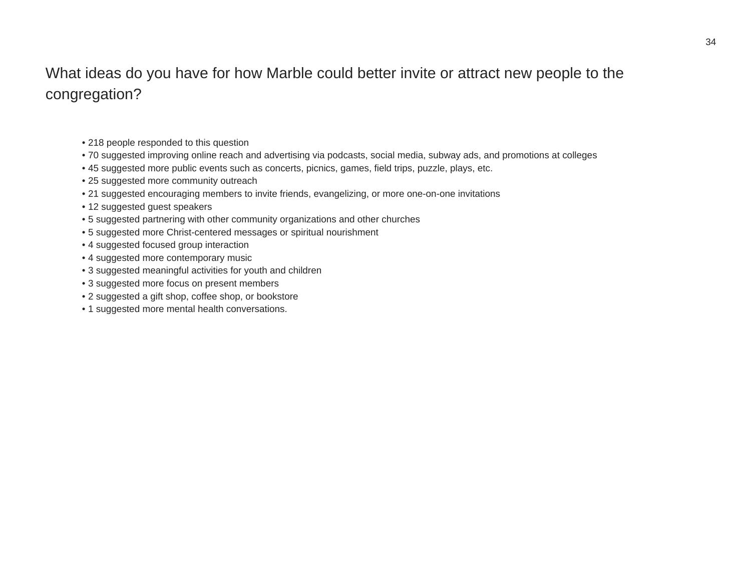## What ideas do you have for how Marble could better invite or attract new people to the congregation?

- 218 people responded to this question
- 70 suggested improving online reach and advertising via podcasts, social media, subway ads, and promotions at colleges
- 45 suggested more public events such as concerts, picnics, games, field trips, puzzle, plays, etc.
- 25 suggested more community outreach
- 21 suggested encouraging members to invite friends, evangelizing, or more one-on-one invitations
- 12 suggested guest speakers
- 5 suggested partnering with other community organizations and other churches
- 5 suggested more Christ-centered messages or spiritual nourishment
- 4 suggested focused group interaction
- 4 suggested more contemporary music
- 3 suggested meaningful activities for youth and children
- 3 suggested more focus on present members
- 2 suggested a gift shop, coffee shop, or bookstore
- 1 suggested more mental health conversations.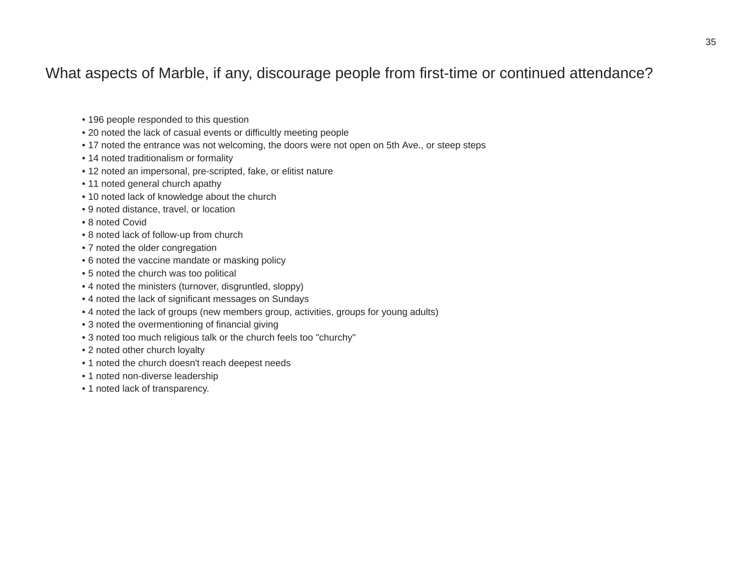## What aspects of Marble, if any, discourage people from first-time or continued attendance?

- 196 people responded to this question
- 20 noted the lack of casual events or difficultly meeting people
- 17 noted the entrance was not welcoming, the doors were not open on 5th Ave., or steep steps
- 14 noted traditionalism or formality
- 12 noted an impersonal, pre-scripted, fake, or elitist nature
- 11 noted general church apathy
- 10 noted lack of knowledge about the church
- 9 noted distance, travel, or location
- 8 noted Covid
- 8 noted lack of follow-up from church
- 7 noted the older congregation
- 6 noted the vaccine mandate or masking policy
- 5 noted the church was too political
- 4 noted the ministers (turnover, disgruntled, sloppy)
- 4 noted the lack of significant messages on Sundays
- 4 noted the lack of groups (new members group, activities, groups for young adults)
- 3 noted the overmentioning of financial giving
- 3 noted too much religious talk or the church feels too "churchy"
- 2 noted other church loyalty
- 1 noted the church doesn't reach deepest needs
- 1 noted non-diverse leadership
- 1 noted lack of transparency.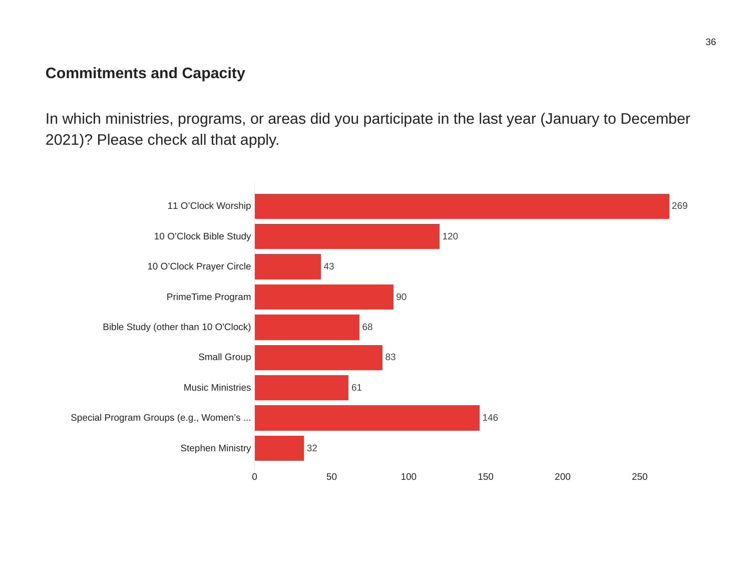## **Commitments and Capacity**

In which ministries, programs, or areas did you participate in the last year (January to December 2021)? Please check all that apply.

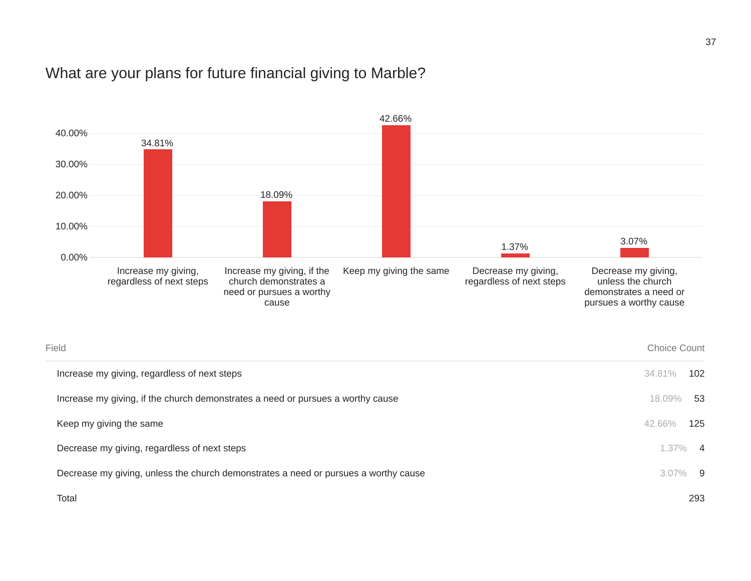## What are your plans for future financial giving to Marble?

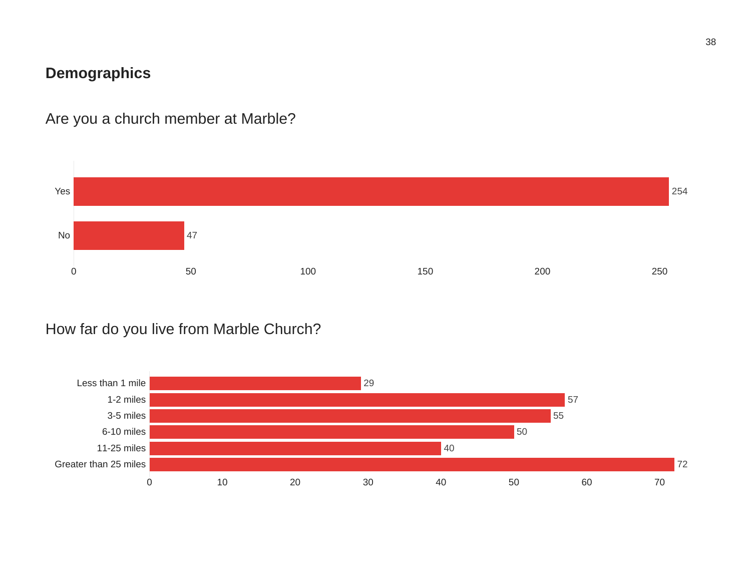## **Demographics**

Are you a church member at Marble?



## How far do you live from Marble Church?

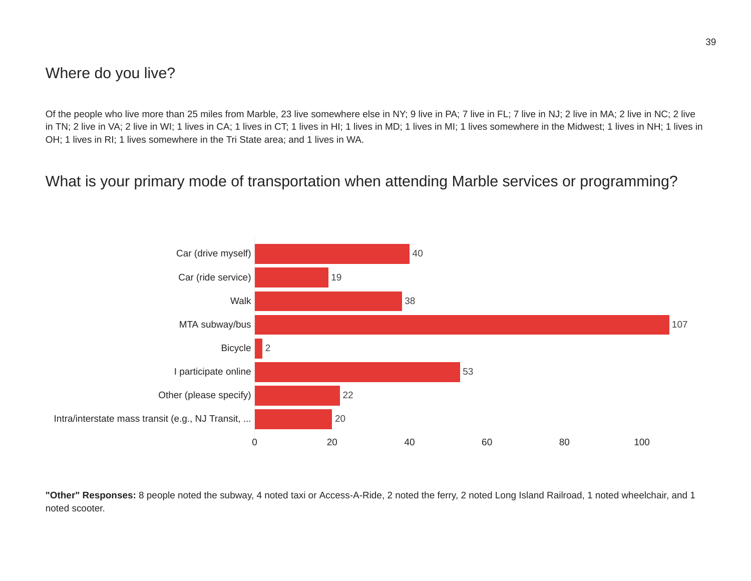## Where do you live?

Of the people who live more than 25 miles from Marble, 23 live somewhere else in NY; 9 live in PA; 7 live in FL; 7 live in NJ; 2 live in MA; 2 live in NC; 2 live in TN; 2 live in VA; 2 live in WI; 1 lives in CA; 1 lives in CT; 1 lives in HI; 1 lives in MD; 1 lives in MI; 1 lives somewhere in the Midwest; 1 lives in NH; 1 lives in OH; 1 lives in RI; 1 lives somewhere in the Tri State area; and 1 lives in WA.

## What is your primary mode of transportation when attending Marble services or programming?



**"Other" Responses:** 8 people noted the subway, 4 noted taxi or Access-A-Ride, 2 noted the ferry, 2 noted Long Island Railroad, 1 noted wheelchair, and 1 noted scooter.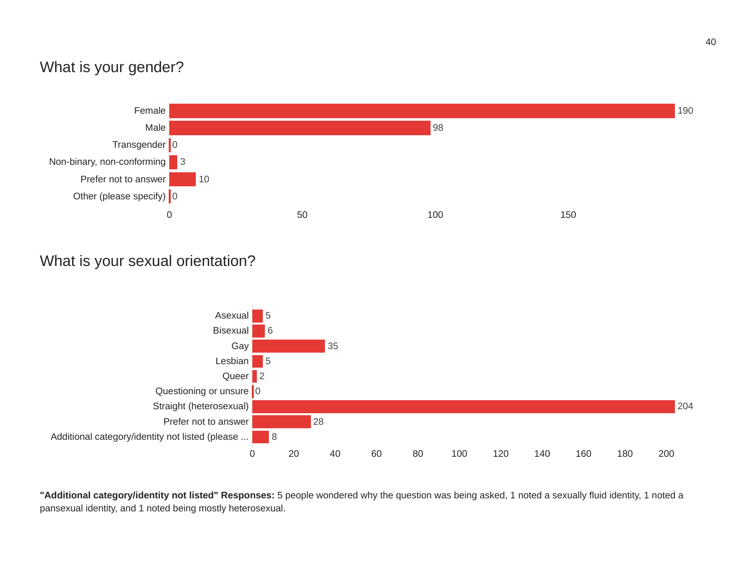## What is your gender?



## What is your sexual orientation?



**"Additional category/identity not listed" Responses:** 5 people wondered why the question was being asked, 1 noted a sexually fluid identity, 1 noted a pansexual identity, and 1 noted being mostly heterosexual.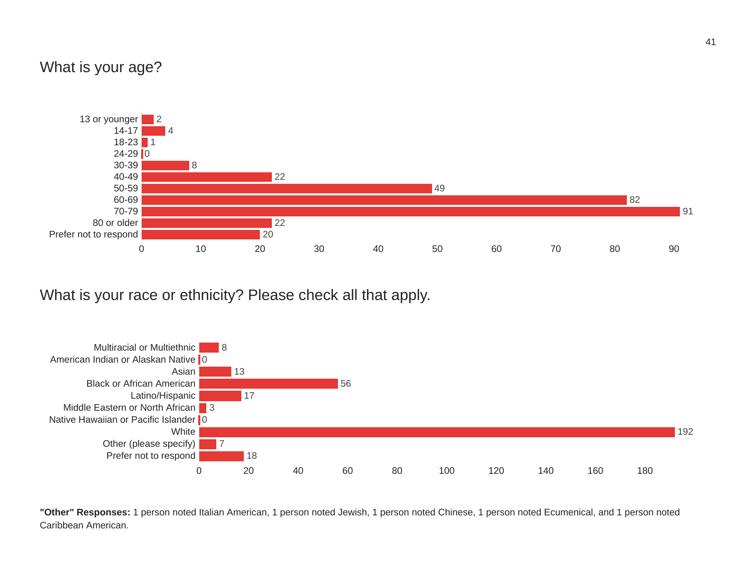## What is your age?



What is your race or ethnicity? Please check all that apply.



**"Other" Responses:** 1 person noted Italian American, 1 person noted Jewish, 1 person noted Chinese, 1 person noted Ecumenical, and 1 person noted Caribbean American.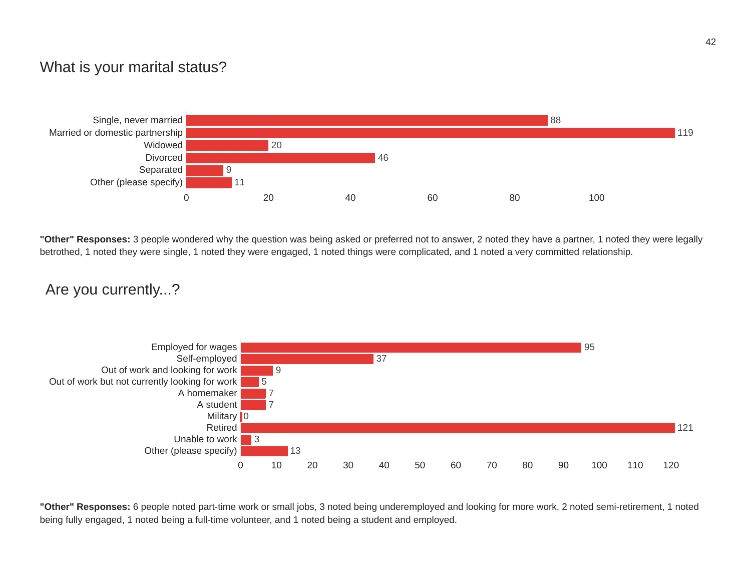## What is your marital status?



**"Other" Responses:** 3 people wondered why the question was being asked or preferred not to answer, 2 noted they have a partner, 1 noted they were legally betrothed, 1 noted they were single, 1 noted they were engaged, 1 noted things were complicated, and 1 noted a very committed relationship.

#### Are you currently...?



**"Other" Responses:** 6 people noted part-time work or small jobs, 3 noted being underemployed and looking for more work, 2 noted semi-retirement, 1 noted being fully engaged, 1 noted being a full-time volunteer, and 1 noted being a student and employed.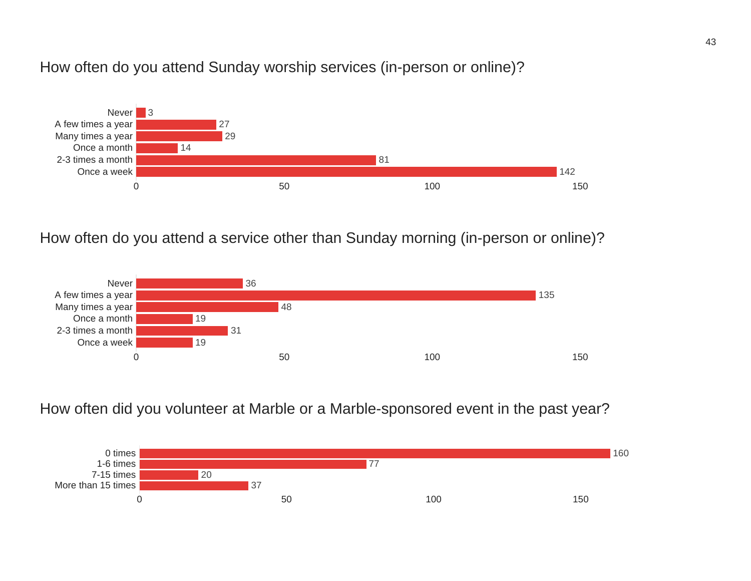#### How often do you attend Sunday worship services (in-person or online)?



#### How often do you attend a service other than Sunday morning (in-person or online)?



#### How often did you volunteer at Marble or a Marble-sponsored event in the past year?

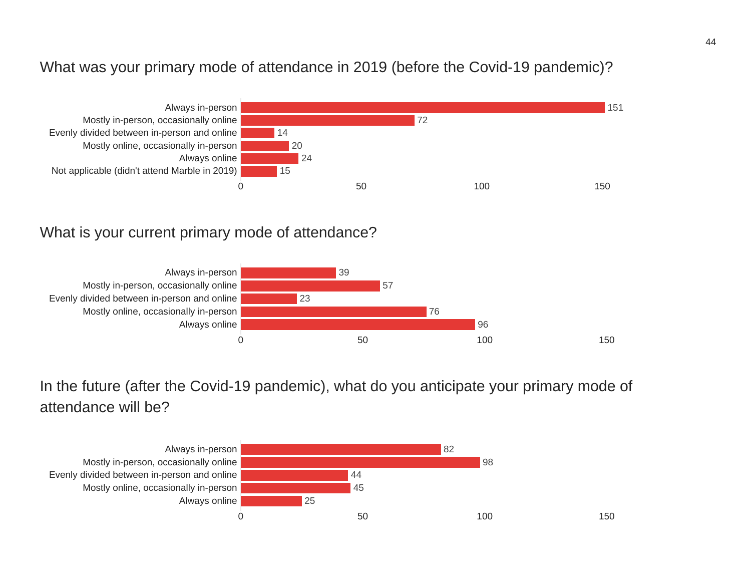## What was your primary mode of attendance in 2019 (before the Covid-19 pandemic)?



#### What is your current primary mode of attendance?



In the future (after the Covid-19 pandemic), what do you anticipate your primary mode of attendance will be?

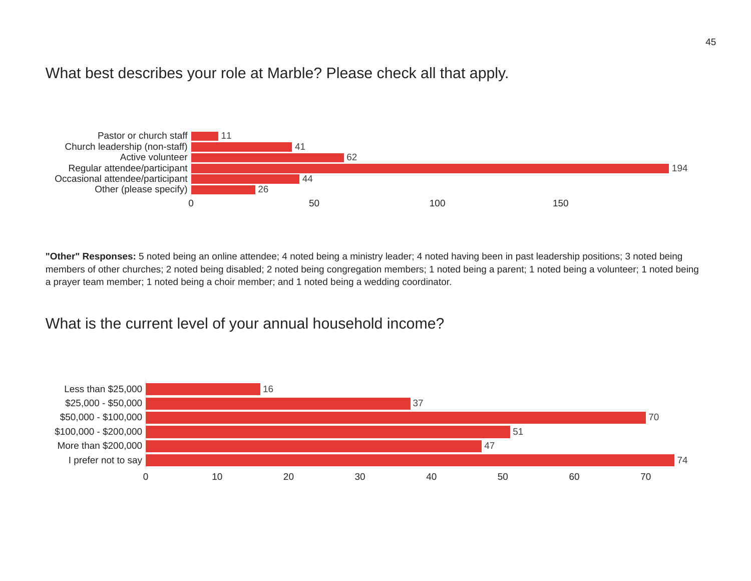#### What best describes your role at Marble? Please check all that apply.



**"Other" Responses:** 5 noted being an online attendee; 4 noted being a ministry leader; 4 noted having been in past leadership positions; 3 noted being members of other churches; 2 noted being disabled; 2 noted being congregation members; 1 noted being a parent; 1 noted being a volunteer; 1 noted being a prayer team member; 1 noted being a choir member; and 1 noted being a wedding coordinator.

## What is the current level of your annual household income?

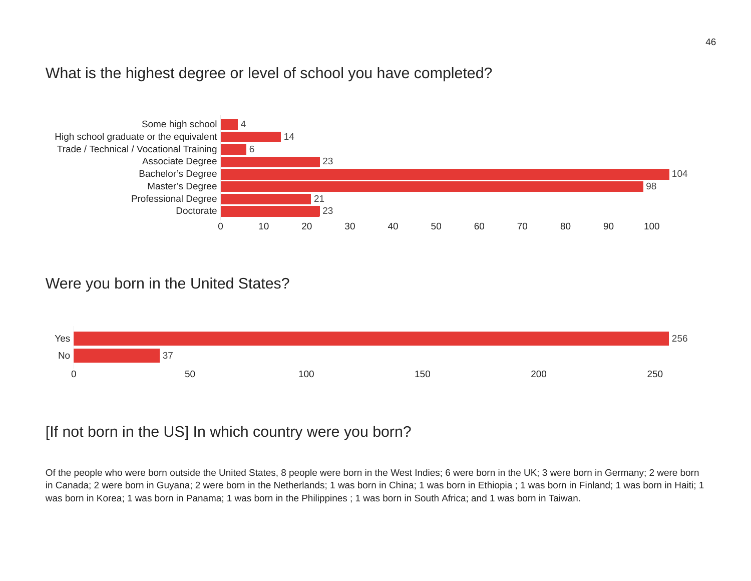#### What is the highest degree or level of school you have completed?



#### Were you born in the United States?



## [If not born in the US] In which country were you born?

Of the people who were born outside the United States, 8 people were born in the West Indies; 6 were born in the UK; 3 were born in Germany; 2 were born in Canada; 2 were born in Guyana; 2 were born in the Netherlands; 1 was born in China; 1 was born in Ethiopia ; 1 was born in Finland; 1 was born in Haiti; 1 was born in Korea; 1 was born in Panama; 1 was born in the Philippines ; 1 was born in South Africa; and 1 was born in Taiwan.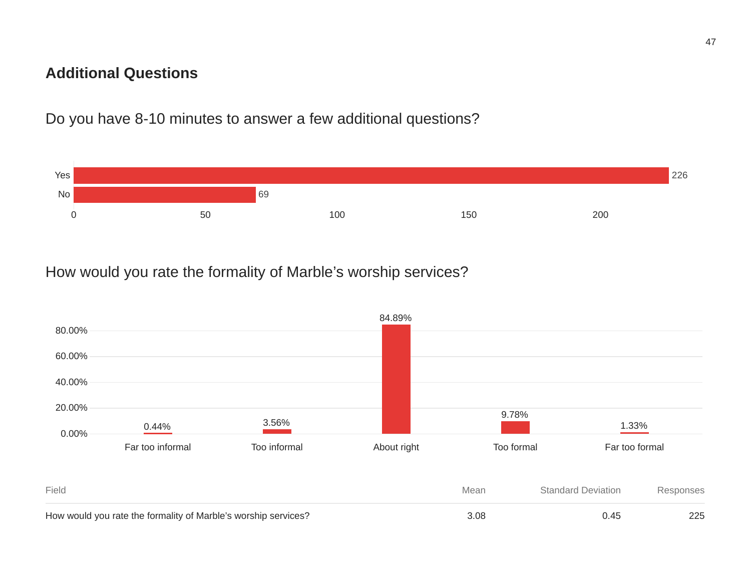## **Additional Questions**

Do you have 8-10 minutes to answer a few additional questions?



## How would you rate the formality of Marble's worship services?

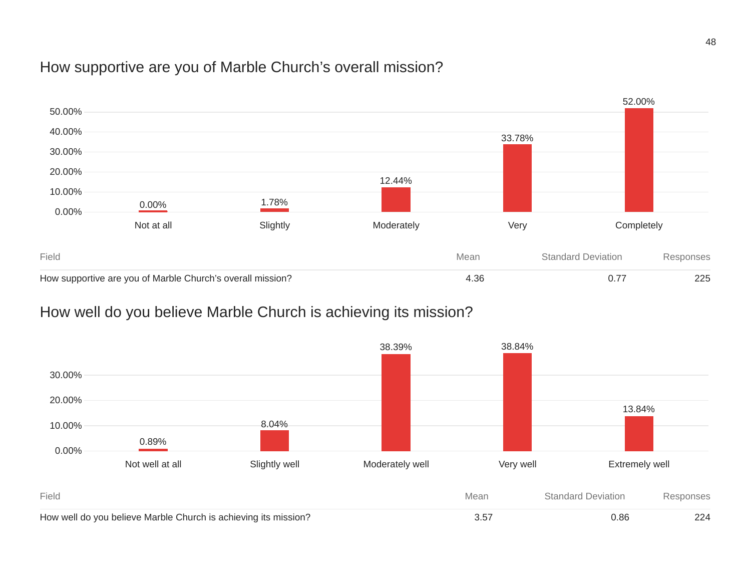## How supportive are you of Marble Church's overall mission?



## How well do you believe Marble Church is achieving its mission?

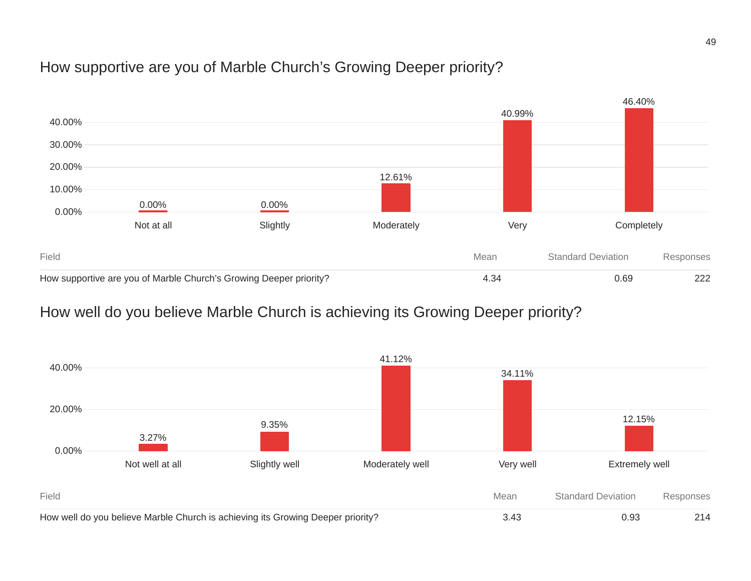## How supportive are you of Marble Church's Growing Deeper priority?



## How well do you believe Marble Church is achieving its Growing Deeper priority?

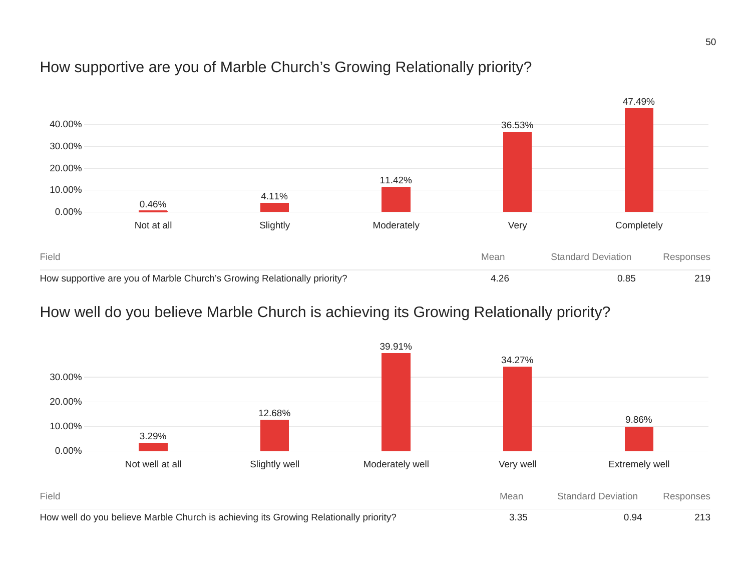## How supportive are you of Marble Church's Growing Relationally priority?



## How well do you believe Marble Church is achieving its Growing Relationally priority?

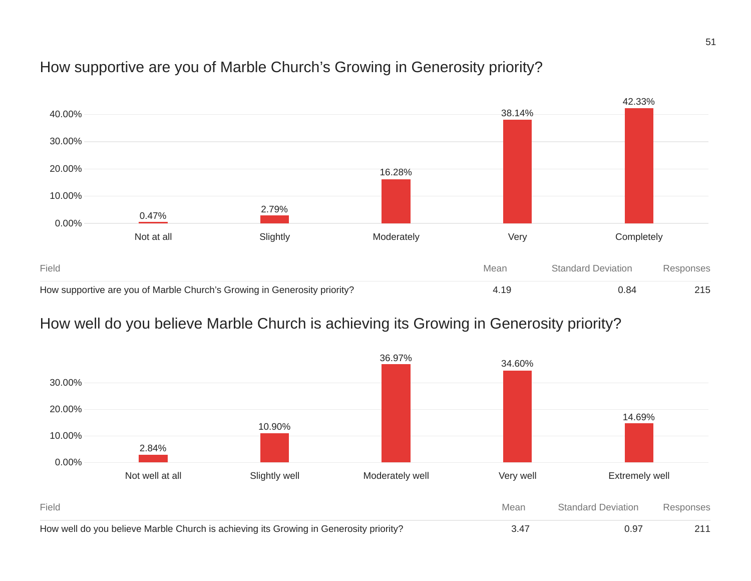## How supportive are you of Marble Church's Growing in Generosity priority?



## How well do you believe Marble Church is achieving its Growing in Generosity priority?

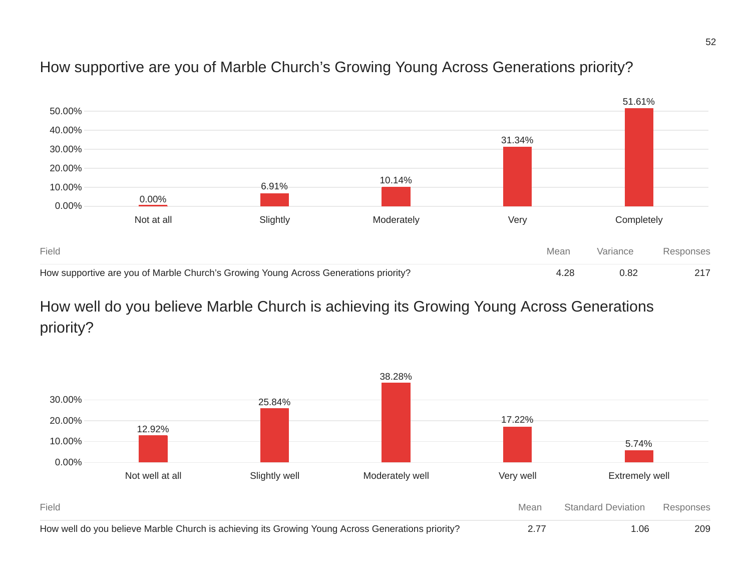## How supportive are you of Marble Church's Growing Young Across Generations priority?



## How well do you believe Marble Church is achieving its Growing Young Across Generations priority?

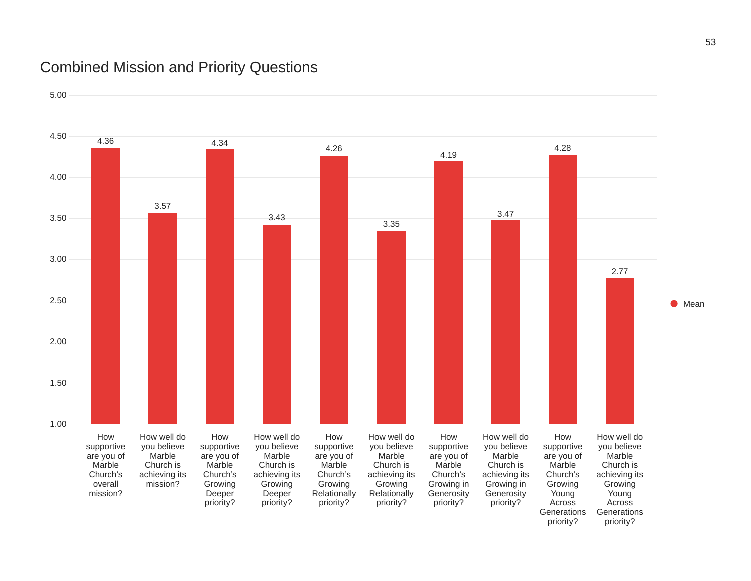## Combined Mission and Priority Questions

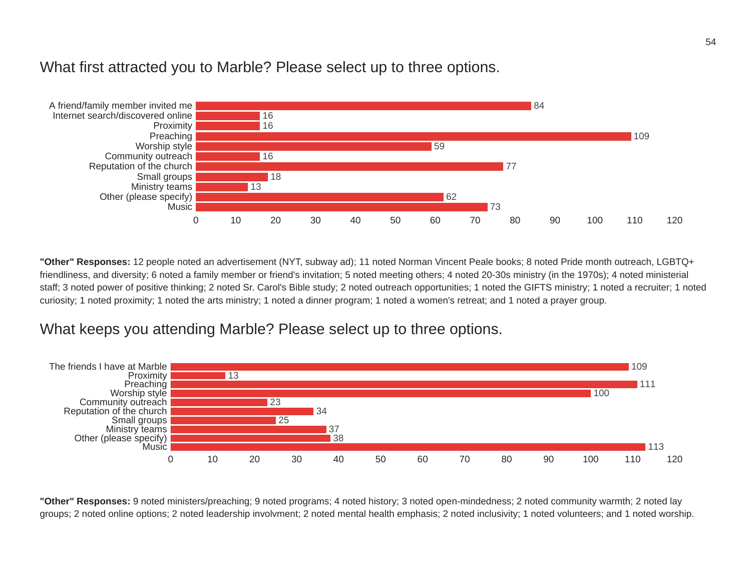

#### What first attracted you to Marble? Please select up to three options.

**"Other" Responses:** 12 people noted an advertisement (NYT, subway ad); 11 noted Norman Vincent Peale books; 8 noted Pride month outreach, LGBTQ+ friendliness, and diversity; 6 noted a family member or friend's invitation; 5 noted meeting others; 4 noted 20-30s ministry (in the 1970s); 4 noted ministerial staff; 3 noted power of positive thinking; 2 noted Sr. Carol's Bible study; 2 noted outreach opportunities; 1 noted the GIFTS ministry; 1 noted a recruiter; 1 noted curiosity; 1 noted proximity; 1 noted the arts ministry; 1 noted a dinner program; 1 noted a women's retreat; and 1 noted a prayer group.

#### What keeps you attending Marble? Please select up to three options.



**"Other" Responses:** 9 noted ministers/preaching; 9 noted programs; 4 noted history; 3 noted open-mindedness; 2 noted community warmth; 2 noted lay groups; 2 noted online options; 2 noted leadership involvment; 2 noted mental health emphasis; 2 noted inclusivity; 1 noted volunteers; and 1 noted worship.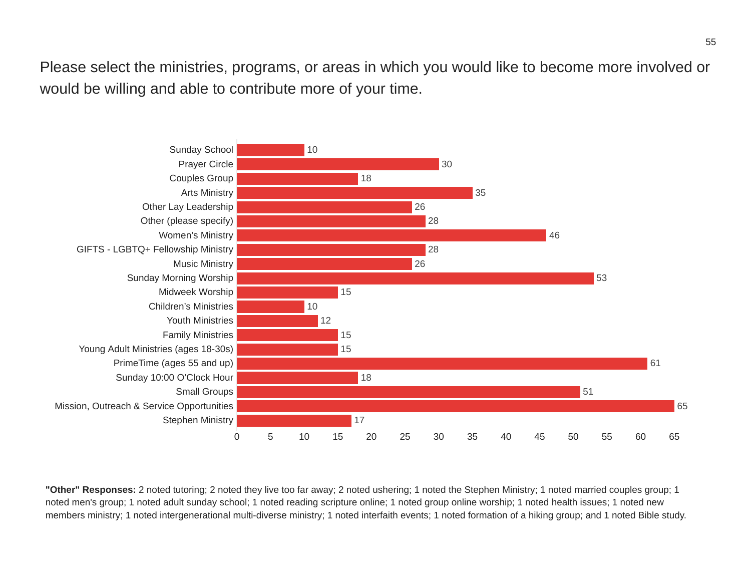Please select the ministries, programs, or areas in which you would like to become more involved or would be willing and able to contribute more of your time.



**"Other" Responses:** 2 noted tutoring; 2 noted they live too far away; 2 noted ushering; 1 noted the Stephen Ministry; 1 noted married couples group; 1 noted men's group; 1 noted adult sunday school; 1 noted reading scripture online; 1 noted group online worship; 1 noted health issues; 1 noted new members ministry; 1 noted intergenerational multi-diverse ministry; 1 noted interfaith events; 1 noted formation of a hiking group; and 1 noted Bible study.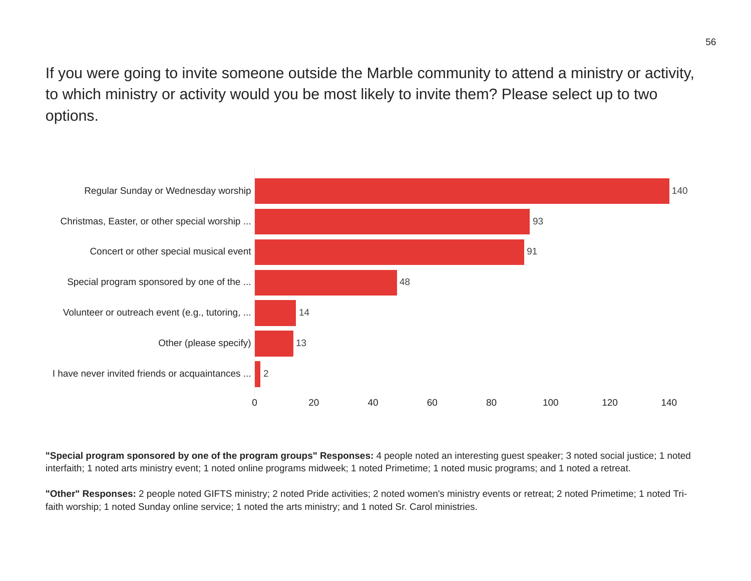If you were going to invite someone outside the Marble community to attend a ministry or activity, to which ministry or activity would you be most likely to invite them? Please select up to two options.



**"Special program sponsored by one of the program groups" Responses:** 4 people noted an interesting guest speaker; 3 noted social justice; 1 noted interfaith; 1 noted arts ministry event; 1 noted online programs midweek; 1 noted Primetime; 1 noted music programs; and 1 noted a retreat.

**"Other" Responses:** 2 people noted GIFTS ministry; 2 noted Pride activities; 2 noted women's ministry events or retreat; 2 noted Primetime; 1 noted Trifaith worship; 1 noted Sunday online service; 1 noted the arts ministry; and 1 noted Sr. Carol ministries.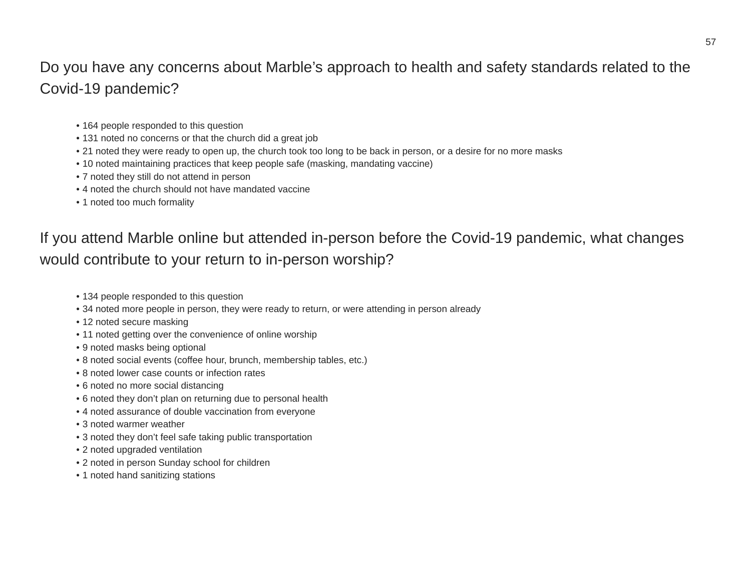## Do you have any concerns about Marble's approach to health and safety standards related to the Covid-19 pandemic?

- 164 people responded to this question
- 131 noted no concerns or that the church did a great job
- 21 noted they were ready to open up, the church took too long to be back in person, or a desire for no more masks
- 10 noted maintaining practices that keep people safe (masking, mandating vaccine)
- 7 noted they still do not attend in person
- 4 noted the church should not have mandated vaccine
- 1 noted too much formality

## If you attend Marble online but attended in-person before the Covid-19 pandemic, what changes would contribute to your return to in-person worship?

- 134 people responded to this question
- 34 noted more people in person, they were ready to return, or were attending in person already
- 12 noted secure masking
- 11 noted getting over the convenience of online worship
- 9 noted masks being optional
- 8 noted social events (coffee hour, brunch, membership tables, etc.)
- 8 noted lower case counts or infection rates
- 6 noted no more social distancing
- 6 noted they don't plan on returning due to personal health
- 4 noted assurance of double vaccination from everyone
- 3 noted warmer weather
- 3 noted they don't feel safe taking public transportation
- 2 noted upgraded ventilation
- 2 noted in person Sunday school for children
- 1 noted hand sanitizing stations